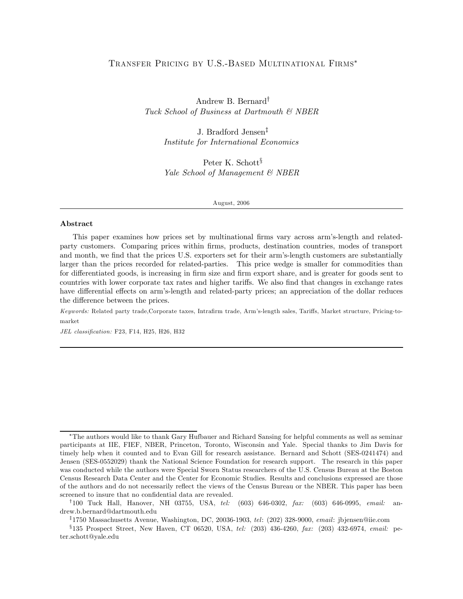# Transfer Pricing by U.S.-Based Multinational Firms<sup>∗</sup>

Andrew B. Bernard† Tuck School of Business at Dartmouth & NBER

> J. Bradford Jensen‡ Institute for International Economics

Peter K. Schott§ Yale School of Management & NBER

August, 2006

#### Abstract

This paper examines how prices set by multinational firms vary across arm's-length and relatedparty customers. Comparing prices within firms, products, destination countries, modes of transport and month, we find that the prices U.S. exporters set for their arm's-length customers are substantially larger than the prices recorded for related-parties. This price wedge is smaller for commodities than for differentiated goods, is increasing in firm size and firm export share, and is greater for goods sent to countries with lower corporate tax rates and higher tariffs. We also find that changes in exchange rates have differential effects on arm's-length and related-party prices; an appreciation of the dollar reduces the difference between the prices.

Keywords: Related party trade,Corporate taxes, Intrafirm trade, Arm's-length sales, Tariffs, Market structure, Pricing-tomarket

JEL classification: F23, F14, H25, H26, H32

<sup>∗</sup>The authors would like to thank Gary Hufbauer and Richard Sansing for helpful comments as well as seminar participants at IIE, FIEF, NBER, Princeton, Toronto, Wisconsin and Yale. Special thanks to Jim Davis for timely help when it counted and to Evan Gill for research assistance. Bernard and Schott (SES-0241474) and Jensen (SES-0552029) thank the National Science Foundation for research support. The research in this paper was conducted while the authors were Special Sworn Status researchers of the U.S. Census Bureau at the Boston Census Research Data Center and the Center for Economic Studies. Results and conclusions expressed are those of the authors and do not necessarily reflect the views of the Census Bureau or the NBER. This paper has been screened to insure that no confidential data are revealed.

<sup>†</sup>100 Tuck Hall, Hanover, NH 03755, USA, tel: (603) 646-0302, fax: (603) 646-0995, email: andrew.b.bernard@dartmouth.edu

<sup>‡</sup>1750 Massachusetts Avenue, Washington, DC, 20036-1903, tel: (202) 328-9000, email: jbjensen@iie.com

 $§135$  Prospect Street, New Haven, CT 06520, USA, tel: (203) 436-4260, fax: (203) 432-6974, email: peter.schott@yale.edu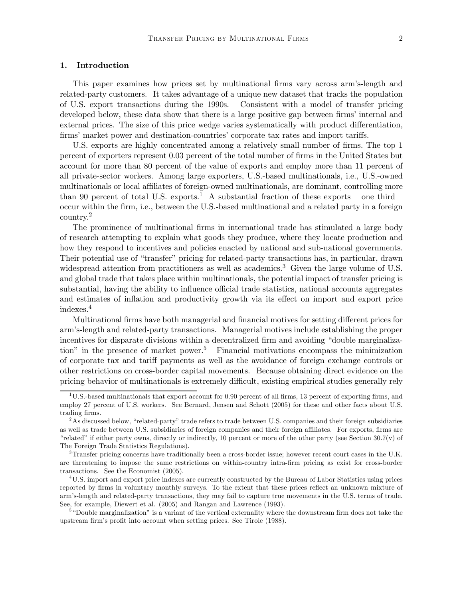### 1. Introduction

This paper examines how prices set by multinational firms vary across arm's-length and related-party customers. It takes advantage of a unique new dataset that tracks the population of U.S. export transactions during the 1990s. Consistent with a model of transfer pricing developed below, these data show that there is a large positive gap between firms' internal and external prices. The size of this price wedge varies systematically with product differentiation, firms' market power and destination-countries' corporate tax rates and import tariffs.

U.S. exports are highly concentrated among a relatively small number of firms. The top 1 percent of exporters represent 0.03 percent of the total number of firms in the United States but account for more than 80 percent of the value of exports and employ more than 11 percent of all private-sector workers. Among large exporters, U.S.-based multinationals, i.e., U.S.-owned multinationals or local affiliates of foreign-owned multinationals, are dominant, controlling more than 90 percent of total U.S. exports.<sup>1</sup> A substantial fraction of these exports – one third – occur within the firm, i.e., between the U.S.-based multinational and a related party in a foreign country.<sup>2</sup>

The prominence of multinational firms in international trade has stimulated a large body of research attempting to explain what goods they produce, where they locate production and how they respond to incentives and policies enacted by national and sub-national governments. Their potential use of "transfer" pricing for related-party transactions has, in particular, drawn widespread attention from practitioners as well as academics.<sup>3</sup> Given the large volume of U.S. and global trade that takes place within multinationals, the potential impact of transfer pricing is substantial, having the ability to influence official trade statistics, national accounts aggregates and estimates of inflation and productivity growth via its effect on import and export price indexes.4

Multinational firms have both managerial and financial motives for setting different prices for arm's-length and related-party transactions. Managerial motives include establishing the proper incentives for disparate divisions within a decentralized firm and avoiding "double marginalization" in the presence of market power.<sup>5</sup> Financial motivations encompass the minimization of corporate tax and tariff payments as well as the avoidance of foreign exchange controls or other restrictions on cross-border capital movements. Because obtaining direct evidence on the pricing behavior of multinationals is extremely difficult, existing empirical studies generally rely

 $1<sup>1</sup>$ U.S.-based multinationals that export account for 0.90 percent of all firms, 13 percent of exporting firms, and employ 27 percent of U.S. workers. See Bernard, Jensen and Schott (2005) for these and other facts about U.S. trading firms.

<sup>&</sup>lt;sup>2</sup>As discussed below, "related-party" trade refers to trade between U.S. companies and their foreign subsidiaries as well as trade between U.S. subsidiaries of foreign companies and their foreign affiliates. For exports, firms are "related" if either party owns, directly or indirectly, 10 percent or more of the other party (see Section 30.7(v) of The Foreign Trade Statistics Regulations).

<sup>3</sup>Transfer pricing concerns have traditionally been a cross-border issue; however recent court cases in the U.K. are threatening to impose the same restrictions on within-country intra-firm pricing as exist for cross-border transactions. See the Economist (2005).

<sup>4</sup>U.S. import and export price indexes are currently constructed by the Bureau of Labor Statistics using prices reported by firms in voluntary monthly surveys. To the extent that these prices reflect an unknown mixture of arm's-length and related-party transactions, they may fail to capture true movements in the U.S. terms of trade. See, for example, Diewert et al. (2005) and Rangan and Lawrence (1993).

<sup>&</sup>lt;sup>5</sup> "Double marginalization" is a variant of the vertical externality where the downstream firm does not take the upstream firm's profit into account when setting prices. See Tirole (1988).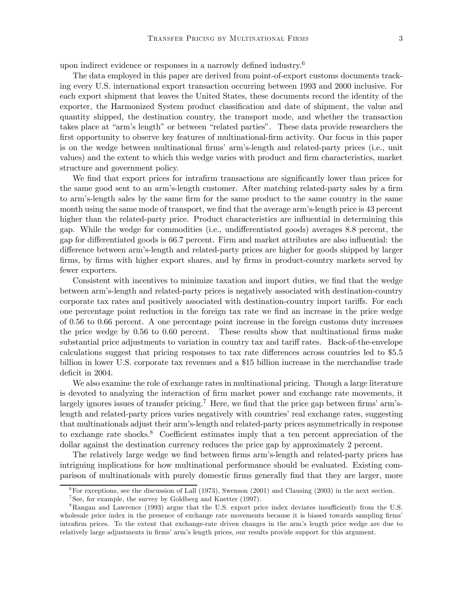upon indirect evidence or responses in a narrowly defined industry.<sup>6</sup>

The data employed in this paper are derived from point-of-export customs documents tracking every U.S. international export transaction occurring between 1993 and 2000 inclusive. For each export shipment that leaves the United States, these documents record the identity of the exporter, the Harmonized System product classification and date of shipment, the value and quantity shipped, the destination country, the transport mode, and whether the transaction takes place at "arm's length" or between "related parties". These data provide researchers the first opportunity to observe key features of multinational-firm activity. Our focus in this paper is on the wedge between multinational firms' arm's-length and related-party prices (i.e., unit values) and the extent to which this wedge varies with product and firm characteristics, market structure and government policy.

We find that export prices for intrafirm transactions are significantly lower than prices for the same good sent to an arm's-length customer. After matching related-party sales by a firm to arm's-length sales by the same firm for the same product to the same country in the same month using the same mode of transport, we find that the average arm's-length price is 43 percent higher than the related-party price. Product characteristics are influential in determining this gap. While the wedge for commodities (i.e., undifferentiated goods) averages 8.8 percent, the gap for differentiated goods is 66.7 percent. Firm and market attributes are also influential: the difference between arm's-length and related-party prices are higher for goods shipped by larger firms, by firms with higher export shares, and by firms in product-country markets served by fewer exporters.

Consistent with incentives to minimize taxation and import duties, we find that the wedge between arm's-length and related-party prices is negatively associated with destination-country corporate tax rates and positively associated with destination-country import tariffs. For each one percentage point reduction in the foreign tax rate we find an increase in the price wedge of 0.56 to 0.66 percent. A one percentage point increase in the foreign customs duty increases the price wedge by 0.56 to 0.60 percent. These results show that multinational firms make substantial price adjustments to variation in country tax and tariff rates. Back-of-the-envelope calculations suggest that pricing responses to tax rate differences across countries led to \$5.5 billion in lower U.S. corporate tax revenues and a \$15 billion increase in the merchandise trade deficit in 2004.

We also examine the role of exchange rates in multinational pricing. Though a large literature is devoted to analyzing the interaction of firm market power and exchange rate movements, it largely ignores issues of transfer pricing.<sup>7</sup> Here, we find that the price gap between firms' arm'slength and related-party prices varies negatively with countries' real exchange rates, suggesting that multinationals adjust their arm's-length and related-party prices asymmetrically in response to exchange rate shocks.<sup>8</sup> Coefficient estimates imply that a ten percent appreciation of the dollar against the destination currency reduces the price gap by approximately 2 percent.

The relatively large wedge we find between firms arm's-length and related-party prices has intriguing implications for how multinational performance should be evaluated. Existing comparison of multinationals with purely domestic firms generally find that they are larger, more

 $6\,\text{For exceptions, see the discussion of Lall (1973), Swenson (2001) and Clausing (2003) in the next section.}$ 

<sup>&</sup>lt;sup>7</sup>See, for example, the survey by Goldberg and Knetter  $(1997)$ .

<sup>&</sup>lt;sup>8</sup>Rangan and Lawrence (1993) argue that the U.S. export price index deviates insufficiently from the U.S. wholesale price index in the presence of exchange rate movements because it is biased towards sampling firms' intrafirm prices. To the extent that exchange-rate driven changes in the arm's length price wedge are due to relatively large adjustments in firms' arm's length prices, our results provide support for this argument.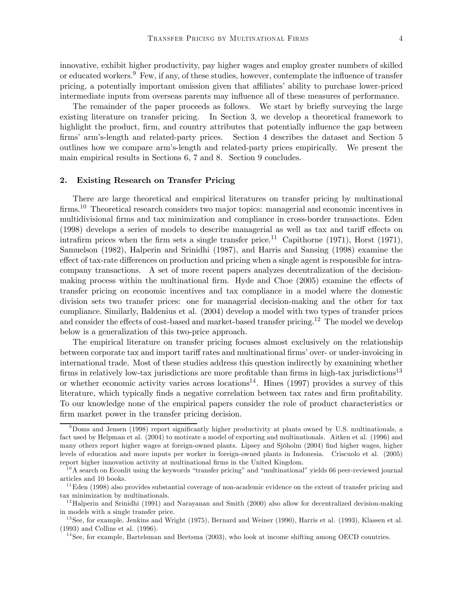innovative, exhibit higher productivity, pay higher wages and employ greater numbers of skilled or educated workers.<sup>9</sup> Few, if any, of these studies, however, contemplate the influence of transfer pricing, a potentially important omission given that affiliates' ability to purchase lower-priced intermediate inputs from overseas parents may influence all of these measures of performance.

The remainder of the paper proceeds as follows. We start by briefly surveying the large existing literature on transfer pricing. In Section 3, we develop a theoretical framework to highlight the product, firm, and country attributes that potentially influence the gap between firms' arm's-length and related-party prices. Section 4 describes the dataset and Section 5 outlines how we compare arm's-length and related-party prices empirically. We present the main empirical results in Sections 6, 7 and 8. Section 9 concludes.

# 2. Existing Research on Transfer Pricing

There are large theoretical and empirical literatures on transfer pricing by multinational firms.<sup>10</sup> Theoretical research considers two major topics: managerial and economic incentives in multidivisional firms and tax minimization and compliance in cross-border transactions. Eden (1998) develops a series of models to describe managerial as well as tax and tariff effects on intrafirm prices when the firm sets a single transfer price.<sup>11</sup> Capithorne (1971), Horst (1971), Samuelson (1982), Halperin and Srinidhi (1987), and Harris and Sansing (1998) examine the effect of tax-rate differences on production and pricing when a single agent is responsible for intracompany transactions. A set of more recent papers analyzes decentralization of the decisionmaking process within the multinational firm. Hyde and Choe (2005) examine the effects of transfer pricing on economic incentives and tax compliance in a model where the domestic division sets two transfer prices: one for managerial decision-making and the other for tax compliance. Similarly, Baldenius et al. (2004) develop a model with two types of transfer prices and consider the effects of cost-based and market-based transfer pricing.<sup>12</sup> The model we develop below is a generalization of this two-price approach.

The empirical literature on transfer pricing focuses almost exclusively on the relationship between corporate tax and import tariff rates and multinational firms' over- or under-invoicing in international trade. Most of these studies address this question indirectly by examining whether firms in relatively low-tax jurisdictions are more profitable than firms in high-tax jurisdictions<sup>13</sup> or whether economic activity varies across locations<sup>14</sup>. Hines (1997) provides a survey of this literature, which typically finds a negative correlation between tax rates and firm profitability. To our knowledge none of the empirical papers consider the role of product characteristics or firm market power in the transfer pricing decision.

 $9$ Doms and Jensen (1998) report significantly higher productivity at plants owned by U.S. multinationals, a fact used by Helpman et al. (2004) to motivate a model of exporting and multinationals. Aitken et al. (1996) and many others report higher wages at foreign-owned plants. Lipsey and Sjöholm (2004) find higher wages, higher levels of education and more inputs per worker in foreign-owned plants in Indonesia. Criscuolo et al. (2005) report higher innovation activity at multinational firms in the United Kingdom.

<sup>&</sup>lt;sup>10</sup> A search on Econlit using the keywords "transfer pricing" and "multinational" yields 66 peer-reviewed journal articles and 10 books.

 $11$  Eden (1998) also provides substantial coverage of non-academic evidence on the extent of transfer pricing and tax minimization by multinationals.

 $12$ Halperin and Srinidhi (1991) and Narayanan and Smith (2000) also allow for decentralized decision-making in models with a single transfer price.

 $13$  See, for example, Jenkins and Wright (1975), Bernard and Weiner (1990), Harris et al. (1993), Klassen et al. (1993) and Collins et al. (1996).

 $14$  See, for example, Bartelsman and Beetsma (2003), who look at income shifting among OECD countries.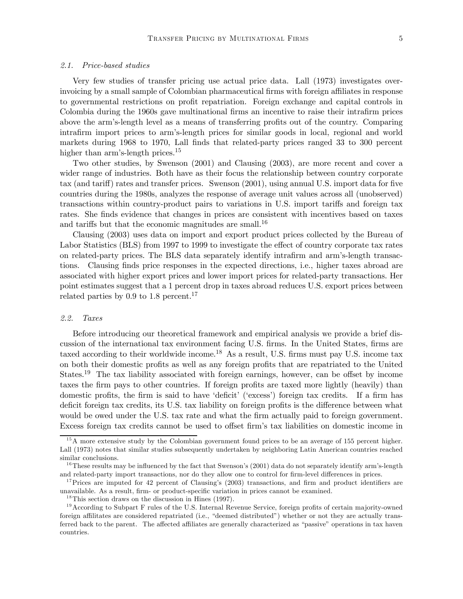#### 2.1. Price-based studies

Very few studies of transfer pricing use actual price data. Lall (1973) investigates overinvoicing by a small sample of Colombian pharmaceutical firms with foreign affiliates in response to governmental restrictions on profit repatriation. Foreign exchange and capital controls in Colombia during the 1960s gave multinational firms an incentive to raise their intrafirm prices above the arm's-length level as a means of transferring profits out of the country. Comparing intrafirm import prices to arm's-length prices for similar goods in local, regional and world markets during 1968 to 1970, Lall finds that related-party prices ranged 33 to 300 percent higher than arm's-length prices.<sup>15</sup>

Two other studies, by Swenson (2001) and Clausing (2003), are more recent and cover a wider range of industries. Both have as their focus the relationship between country corporate tax (and tariff) rates and transfer prices. Swenson (2001), using annual U.S. import data for five countries during the 1980s, analyzes the response of average unit values across all (unobserved) transactions within country-product pairs to variations in U.S. import tariffs and foreign tax rates. She finds evidence that changes in prices are consistent with incentives based on taxes and tariffs but that the economic magnitudes are small.<sup>16</sup>

Clausing (2003) uses data on import and export product prices collected by the Bureau of Labor Statistics (BLS) from 1997 to 1999 to investigate the effect of country corporate tax rates on related-party prices. The BLS data separately identify intrafirm and arm's-length transactions. Clausing finds price responses in the expected directions, i.e., higher taxes abroad are associated with higher export prices and lower import prices for related-party transactions. Her point estimates suggest that a 1 percent drop in taxes abroad reduces U.S. export prices between related parties by  $0.9$  to  $1.8$  percent.<sup>17</sup>

### 2.2. Taxes

Before introducing our theoretical framework and empirical analysis we provide a brief discussion of the international tax environment facing U.S. firms. In the United States, firms are taxed according to their worldwide income.<sup>18</sup> As a result, U.S. firms must pay U.S. income tax on both their domestic profits as well as any foreign profits that are repatriated to the United States.<sup>19</sup> The tax liability associated with foreign earnings, however, can be offset by income taxes the firm pays to other countries. If foreign profits are taxed more lightly (heavily) than domestic profits, the firm is said to have 'deficit' ('excess') foreign tax credits. If a firm has deficit foreign tax credits, its U.S. tax liability on foreign profits is the difference between what would be owed under the U.S. tax rate and what the firm actually paid to foreign government. Excess foreign tax credits cannot be used to offset firm's tax liabilities on domestic income in

<sup>&</sup>lt;sup>15</sup>A more extensive study by the Colombian government found prices to be an average of 155 percent higher. Lall (1973) notes that similar studies subsequently undertaken by neighboring Latin American countries reached similar conclusions.

 $16$  These results may be influenced by the fact that Swenson's (2001) data do not separately identify arm's-length and related-party import transactions, nor do they allow one to control for firm-level differences in prices.

<sup>&</sup>lt;sup>17</sup>Prices are imputed for 42 percent of Clausing's  $(2003)$  transactions, and firm and product identifiers are unavailable. As a result, firm- or product-specific variation in prices cannot be examined.

 $18$ This section draws on the discussion in Hines (1997).

<sup>&</sup>lt;sup>19</sup> According to Subpart F rules of the U.S. Internal Revenue Service, foreign profits of certain majority-owned foreign affilitates are considered repatriated (i.e., "deemed distributed") whether or not they are actually transferred back to the parent. The affected affiliates are generally characterized as "passive" operations in tax haven countries.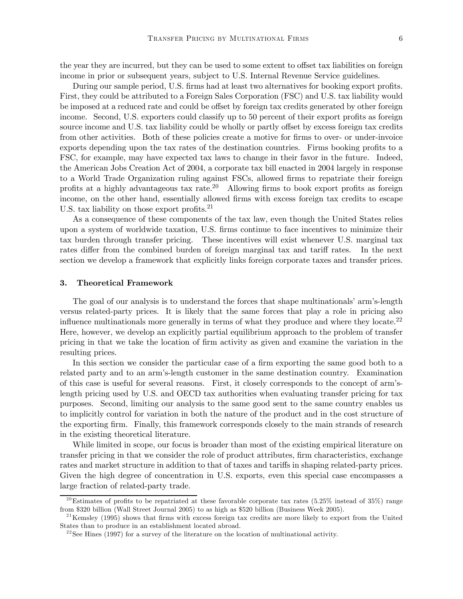the year they are incurred, but they can be used to some extent to offset tax liabilities on foreign income in prior or subsequent years, subject to U.S. Internal Revenue Service guidelines.

During our sample period, U.S. firms had at least two alternatives for booking export profits. First, they could be attributed to a Foreign Sales Corporation (FSC) and U.S. tax liability would be imposed at a reduced rate and could be offset by foreign tax credits generated by other foreign income. Second, U.S. exporters could classify up to 50 percent of their export profits as foreign source income and U.S. tax liability could be wholly or partly offset by excess foreign tax credits from other activities. Both of these policies create a motive for firms to over- or under-invoice exports depending upon the tax rates of the destination countries. Firms booking profits to a FSC, for example, may have expected tax laws to change in their favor in the future. Indeed, the American Jobs Creation Act of 2004, a corporate tax bill enacted in 2004 largely in response to a World Trade Organization ruling against FSCs, allowed firms to repatriate their foreign profits at a highly advantageous tax rate.<sup>20</sup> Allowing firms to book export profits as foreign income, on the other hand, essentially allowed firms with excess foreign tax credits to escape U.S. tax liability on those export profits.<sup>21</sup>

As a consequence of these components of the tax law, even though the United States relies upon a system of worldwide taxation, U.S. firms continue to face incentives to minimize their tax burden through transfer pricing. These incentives will exist whenever U.S. marginal tax rates differ from the combined burden of foreign marginal tax and tariff rates. In the next section we develop a framework that explicitly links foreign corporate taxes and transfer prices.

## 3. Theoretical Framework

The goal of our analysis is to understand the forces that shape multinationals' arm's-length versus related-party prices. It is likely that the same forces that play a role in pricing also influence multinationals more generally in terms of what they produce and where they locate.<sup>22</sup> Here, however, we develop an explicitly partial equilibrium approach to the problem of transfer pricing in that we take the location of firm activity as given and examine the variation in the resulting prices.

In this section we consider the particular case of a firm exporting the same good both to a related party and to an arm's-length customer in the same destination country. Examination of this case is useful for several reasons. First, it closely corresponds to the concept of arm'slength pricing used by U.S. and OECD tax authorities when evaluating transfer pricing for tax purposes. Second, limiting our analysis to the same good sent to the same country enables us to implicitly control for variation in both the nature of the product and in the cost structure of the exporting firm. Finally, this framework corresponds closely to the main strands of research in the existing theoretical literature.

While limited in scope, our focus is broader than most of the existing empirical literature on transfer pricing in that we consider the role of product attributes, firm characteristics, exchange rates and market structure in addition to that of taxes and tariffs in shaping related-party prices. Given the high degree of concentration in U.S. exports, even this special case encompasses a large fraction of related-party trade.

<sup>&</sup>lt;sup>20</sup>Estimates of profits to be repatriated at these favorable corporate tax rates (5.25% instead of 35%) range from \$320 billion (Wall Street Journal 2005) to as high as \$520 billion (Business Week 2005).

 $^{21}$ Kemsley (1995) shows that firms with excess foreign tax credits are more likely to export from the United States than to produce in an establishment located abroad.

 $^{22}$ See Hines (1997) for a survey of the literature on the location of multinational activity.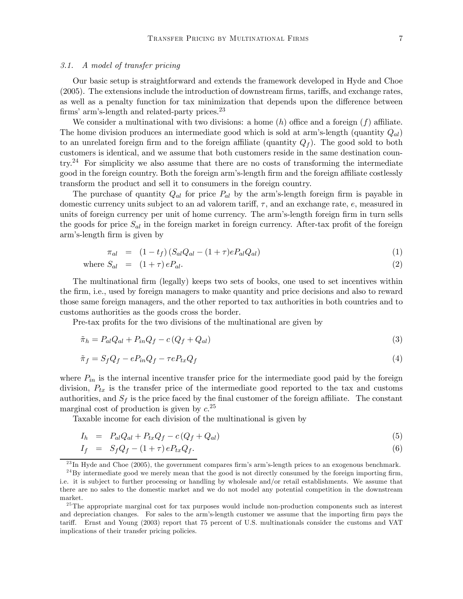### 3.1. A model of transfer pricing

Our basic setup is straightforward and extends the framework developed in Hyde and Choe (2005). The extensions include the introduction of downstream firms, tariffs, and exchange rates, as well as a penalty function for tax minimization that depends upon the difference between firms' arm's-length and related-party prices.<sup>23</sup>

We consider a multinational with two divisions: a home  $(h)$  office and a foreign  $(f)$  affiliate. The home division produces an intermediate good which is sold at arm's-length (quantity  $Q_{al}$ ) to an unrelated foreign firm and to the foreign affiliate (quantity  $Q_f$ ). The good sold to both customers is identical, and we assume that both customers reside in the same destination country.24 For simplicity we also assume that there are no costs of transforming the intermediate good in the foreign country. Both the foreign arm's-length firm and the foreign affiliate costlessly transform the product and sell it to consumers in the foreign country.

The purchase of quantity  $Q_{al}$  for price  $P_{al}$  by the arm's-length foreign firm is payable in domestic currency units subject to an ad valorem tariff,  $\tau$ , and an exchange rate,  $e$ , measured in units of foreign currency per unit of home currency. The arm's-length foreign firm in turn sells the goods for price  $S_{al}$  in the foreign market in foreign currency. After-tax profit of the foreign arm's-length firm is given by

$$
\pi_{al} = (1 - t_f)(S_{al}Q_{al} - (1 + \tau)eP_{al}Q_{al})
$$
\n(1)

where 
$$
S_{al} = (1+\tau) e P_{al}.
$$
 (2)

The multinational firm (legally) keeps two sets of books, one used to set incentives within the firm, i.e., used by foreign managers to make quantity and price decisions and also to reward those same foreign managers, and the other reported to tax authorities in both countries and to customs authorities as the goods cross the border.

Pre-tax profits for the two divisions of the multinational are given by

$$
\tilde{\pi}_h = P_{al}Q_{al} + P_{in}Q_f - c(Q_f + Q_{al})
$$
\n<sup>(3)</sup>

$$
\tilde{\pi}_f = S_f Q_f - e P_{in} Q_f - \tau e P_{tx} Q_f \tag{4}
$$

where  $P_{in}$  is the internal incentive transfer price for the intermediate good paid by the foreign division,  $P_{tx}$  is the transfer price of the intermediate good reported to the tax and customs authorities, and  $S_f$  is the price faced by the final customer of the foreign affiliate. The constant marginal cost of production is given by  $c^{25}$ .

Taxable income for each division of the multinational is given by

$$
I_h = P_{al}Q_{al} + P_{tx}Q_f - c(Q_f + Q_{al})
$$
\n
$$
\tag{5}
$$

$$
I_f = S_f Q_f - (1+\tau) e P_{tx} Q_f. \tag{6}
$$

 $^{23}$  In Hyde and Choe (2005), the government compares firm's arm's-length prices to an exogenous benchmark.

 $^{24}$ By intermediate good we merely mean that the good is not directly consumed by the foreign importing firm, i.e. it is subject to further processing or handling by wholesale and/or retail establishments. We assume that there are no sales to the domestic market and we do not model any potential competition in the downstream market.

 $25$ The appropriate marginal cost for tax purposes would include non-production components such as interest and depreciation changes. For sales to the arm's-length customer we assume that the importing firm pays the tariff. Ernst and Young (2003) report that 75 percent of U.S. multinationals consider the customs and VAT implications of their transfer pricing policies.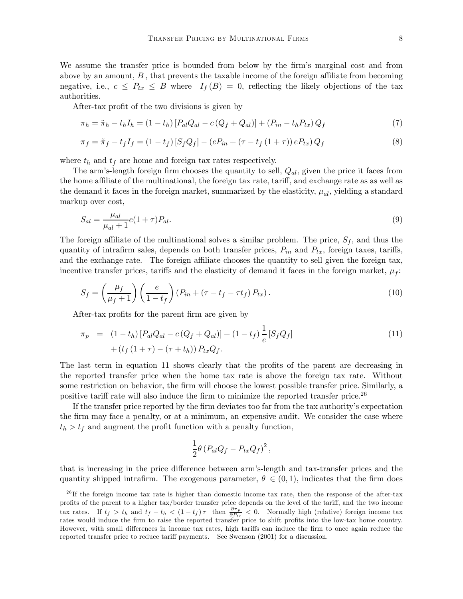We assume the transfer price is bounded from below by the firm's marginal cost and from above by an amount,  $B$ , that prevents the taxable income of the foreign affiliate from becoming negative, i.e.,  $c \leq P_{tx} \leq B$  where  $I_f(B)=0$ , reflecting the likely objections of the tax authorities.

After-tax profit of the two divisions is given by

$$
\pi_h = \tilde{\pi}_h - t_h I_h = (1 - t_h) [P_{al} Q_{al} - c (Q_f + Q_{al})] + (P_{in} - t_h P_{tx}) Q_f
$$
\n(7)

$$
\pi_f = \tilde{\pi}_f - t_f I_f = (1 - t_f) [S_f Q_f] - (e P_{in} + (\tau - t_f (1 + \tau)) e P_{tx}) Q_f
$$
\n(8)

where  $t_h$  and  $t_f$  are home and foreign tax rates respectively.

The arm's-length foreign firm chooses the quantity to sell,  $Q_{al}$ , given the price it faces from the home affiliate of the multinational, the foreign tax rate, tariff, and exchange rate as as well as the demand it faces in the foreign market, summarized by the elasticity,  $\mu_{al}$ , yielding a standard markup over cost,

$$
S_{al} = \frac{\mu_{al}}{\mu_{al} + 1} e(1 + \tau) P_{al}.
$$
\n(9)

The foreign affiliate of the multinational solves a similar problem. The price,  $S_f$ , and thus the quantity of intrafirm sales, depends on both transfer prices,  $P_{in}$  and  $P_{tx}$ , foreign taxes, tariffs, and the exchange rate. The foreign affiliate chooses the quantity to sell given the foreign tax, incentive transfer prices, tariffs and the elasticity of demand it faces in the foreign market,  $\mu_f$ :

$$
S_f = \left(\frac{\mu_f}{\mu_f + 1}\right) \left(\frac{e}{1 - t_f}\right) \left(P_{in} + \left(\tau - t_f - \tau t_f\right) P_{tx}\right). \tag{10}
$$

After-tax profits for the parent firm are given by

$$
\pi_p = (1 - t_h) [P_{al}Q_{al} - c(Q_f + Q_{al})] + (1 - t_f) \frac{1}{e} [S_f Q_f] \n+ (t_f (1 + \tau) - (\tau + t_h)) P_{tx} Q_f.
$$
\n(11)

The last term in equation 11 shows clearly that the profits of the parent are decreasing in the reported transfer price when the home tax rate is above the foreign tax rate. Without some restriction on behavior, the firm will choose the lowest possible transfer price. Similarly, a positive tariff rate will also induce the firm to minimize the reported transfer price.<sup>26</sup>

If the transfer price reported by the firm deviates too far from the tax authority's expectation the firm may face a penalty, or at a minimum, an expensive audit. We consider the case where  $t_h > t_f$  and augment the profit function with a penalty function,

$$
\frac{1}{2}\theta\left(P_{al}Q_f-P_{tx}Q_f\right)^2,
$$

that is increasing in the price difference between arm's-length and tax-transfer prices and the quantity shipped intrafirm. The exogenous parameter,  $\theta \in (0,1)$ , indicates that the firm does

 $^{26}$ If the foreign income tax rate is higher than domestic income tax rate, then the response of the after-tax profits of the parent to a higher tax/border transfer price depends on the level of the tariff, and the two income tax rates. If  $t_f > t_h$  and  $t_f - t_h < (1 - t_f) \tau$  then  $\frac{\partial \pi_p}{\partial P_{tx}} < 0$ . Normally high (relative) foreign income tax rates would induce the firm to raise the reported transfer price to shift profits into the low-tax home coun However, with small differences in income tax rates, high tariffs can induce the firm to once again reduce the reported transfer price to reduce tariff payments. See Swenson (2001) for a discussion.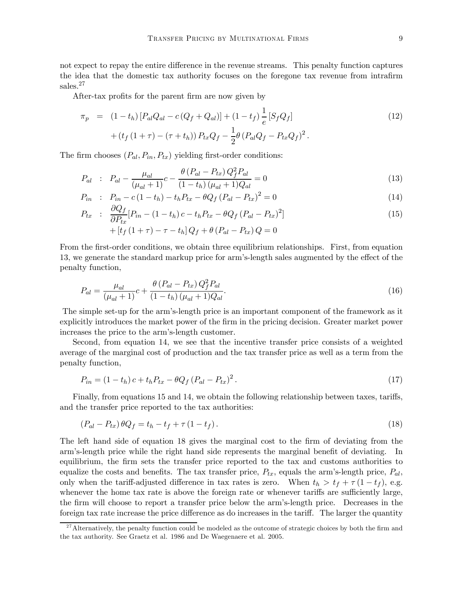not expect to repay the entire difference in the revenue streams. This penalty function captures the idea that the domestic tax authority focuses on the foregone tax revenue from intrafirm sales.27

After-tax profits for the parent firm are now given by

$$
\pi_p = (1 - t_h) [P_{al}Q_{al} - c(Q_f + Q_{al})] + (1 - t_f) \frac{1}{e} [S_f Q_f]
$$
  
+ 
$$
(t_f (1 + \tau) - (\tau + t_h)) P_{tx} Q_f - \frac{1}{2} \theta (P_{al} Q_f - P_{tx} Q_f)^2.
$$
 (12)

The firm chooses  $(P_{al}, P_{in}, P_{tx})$  yielding first-order conditions:

$$
P_{al} : P_{al} - \frac{\mu_{al}}{(\mu_{al} + 1)}c - \frac{\theta (P_{al} - P_{tx}) Q_f^2 P_{al}}{(1 - t_h)(\mu_{al} + 1)Q_{al}} = 0
$$
\n(13)

$$
P_{in} : P_{in} - c(1 - t_h) - t_h P_{tx} - \theta Q_f (P_{al} - P_{tx})^2 = 0
$$
\n(14)

$$
P_{tx} \quad : \quad \frac{\partial Q_f}{\partial P_{tx}} [P_{in} - (1 - t_h) c - t_h P_{tx} - \theta Q_f (P_{al} - P_{tx})^2] \\
\quad + [t_f (1 + \tau) - \tau - t_h] Q_f + \theta (P_{al} - P_{tx}) Q = 0
$$
\n
$$
(15)
$$

From the first-order conditions, we obtain three equilibrium relationships. First, from equation 13, we generate the standard markup price for arm's-length sales augmented by the effect of the penalty function,

$$
P_{al} = \frac{\mu_{al}}{(\mu_{al} + 1)} c + \frac{\theta (P_{al} - P_{tx}) Q_f^2 P_{al}}{(1 - t_h) (\mu_{al} + 1) Q_{al}}.
$$
\n(16)

The simple set-up for the arm's-length price is an important component of the framework as it explicitly introduces the market power of the firm in the pricing decision. Greater market power increases the price to the arm's-length customer.

Second, from equation 14, we see that the incentive transfer price consists of a weighted average of the marginal cost of production and the tax transfer price as well as a term from the penalty function,

$$
P_{in} = (1 - t_h)c + t_h P_{tx} - \theta Q_f (P_{al} - P_{tx})^2.
$$
\n(17)

Finally, from equations 15 and 14, we obtain the following relationship between taxes, tariffs, and the transfer price reported to the tax authorities:

$$
(P_{al} - P_{tx})\,\theta Q_f = t_h - t_f + \tau\,(1 - t_f). \tag{18}
$$

The left hand side of equation 18 gives the marginal cost to the firm of deviating from the arm's-length price while the right hand side represents the marginal benefit of deviating. In equilibrium, the firm sets the transfer price reported to the tax and customs authorities to equalize the costs and benefits. The tax transfer price,  $P_{tx}$ , equals the arm's-length price,  $P_{al}$ , only when the tariff-adjusted difference in tax rates is zero. When  $t_h > t_f + \tau (1 - t_f)$ , e.g. whenever the home tax rate is above the foreign rate or whenever tariffs are sufficiently large, the firm will choose to report a transfer price below the arm's-length price. Decreases in the foreign tax rate increase the price difference as do increases in the tariff. The larger the quantity

 $^{27}$  Alternatively, the penalty function could be modeled as the outcome of strategic choices by both the firm and the tax authority. See Graetz et al. 1986 and De Waegenaere et al. 2005.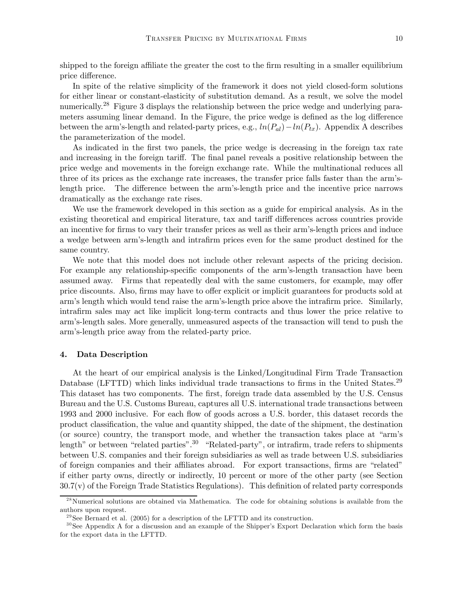shipped to the foreign affiliate the greater the cost to the firm resulting in a smaller equilibrium price difference.

In spite of the relative simplicity of the framework it does not yield closed-form solutions for either linear or constant-elasticity of substitution demand. As a result, we solve the model numerically.<sup>28</sup> Figure 3 displays the relationship between the price wedge and underlying parameters assuming linear demand. In the Figure, the price wedge is defined as the log difference between the arm's-length and related-party prices, e.g.,  $ln(P_{al})-ln(P_{tx})$ . Appendix A describes the parameterization of the model.

As indicated in the first two panels, the price wedge is decreasing in the foreign tax rate and increasing in the foreign tariff. The final panel reveals a positive relationship between the price wedge and movements in the foreign exchange rate. While the multinational reduces all three of its prices as the exchange rate increases, the transfer price falls faster than the arm'slength price. The difference between the arm's-length price and the incentive price narrows dramatically as the exchange rate rises.

We use the framework developed in this section as a guide for empirical analysis. As in the existing theoretical and empirical literature, tax and tariff differences across countries provide an incentive for firms to vary their transfer prices as well as their arm's-length prices and induce a wedge between arm's-length and intrafirm prices even for the same product destined for the same country.

We note that this model does not include other relevant aspects of the pricing decision. For example any relationship-specific components of the arm's-length transaction have been assumed away. Firms that repeatedly deal with the same customers, for example, may offer price discounts. Also, firms may have to offer explicit or implicit guarantees for products sold at arm's length which would tend raise the arm's-length price above the intrafirm price. Similarly, intrafirm sales may act like implicit long-term contracts and thus lower the price relative to arm's-length sales. More generally, unmeasured aspects of the transaction will tend to push the arm's-length price away from the related-party price.

#### 4. Data Description

At the heart of our empirical analysis is the Linked/Longitudinal Firm Trade Transaction Database (LFTTD) which links individual trade transactions to firms in the United States.<sup>29</sup> This dataset has two components. The first, foreign trade data assembled by the U.S. Census Bureau and the U.S. Customs Bureau, captures all U.S. international trade transactions between 1993 and 2000 inclusive. For each flow of goods across a U.S. border, this dataset records the product classification, the value and quantity shipped, the date of the shipment, the destination (or source) country, the transport mode, and whether the transaction takes place at "arm's length" or between "related parties".<sup>30</sup> "Related-party", or intrafirm, trade refers to shipments between U.S. companies and their foreign subsidiaries as well as trade between U.S. subsidiaries of foreign companies and their affiliates abroad. For export transactions, firms are "related" if either party owns, directly or indirectly, 10 percent or more of the other party (see Section  $30.7(v)$  of the Foreign Trade Statistics Regulations). This definition of related party corresponds

<sup>&</sup>lt;sup>28</sup>Numerical solutions are obtained via Mathematica. The code for obtaining solutions is available from the authors upon request.

<sup>&</sup>lt;sup>29</sup> See Bernard et al. (2005) for a description of the LFTTD and its construction.

 $30$  See Appendix A for a discussion and an example of the Shipper's Export Declaration which form the basis for the export data in the LFTTD.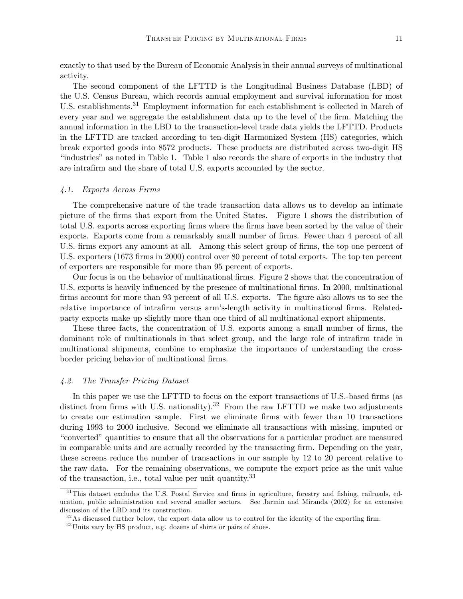exactly to that used by the Bureau of Economic Analysis in their annual surveys of multinational activity.

The second component of the LFTTD is the Longitudinal Business Database (LBD) of the U.S. Census Bureau, which records annual employment and survival information for most U.S. establishments.<sup>31</sup> Employment information for each establishment is collected in March of every year and we aggregate the establishment data up to the level of the firm. Matching the annual information in the LBD to the transaction-level trade data yields the LFTTD. Products in the LFTTD are tracked according to ten-digit Harmonized System (HS) categories, which break exported goods into 8572 products. These products are distributed across two-digit HS "industries" as noted in Table 1. Table 1 also records the share of exports in the industry that are intrafirm and the share of total U.S. exports accounted by the sector.

### 4.1. Exports Across Firms

The comprehensive nature of the trade transaction data allows us to develop an intimate picture of the firms that export from the United States. Figure 1 shows the distribution of total U.S. exports across exporting firms where the firms have been sorted by the value of their exports. Exports come from a remarkably small number of firms. Fewer than 4 percent of all U.S. firms export any amount at all. Among this select group of firms, the top one percent of U.S. exporters (1673 firms in 2000) control over 80 percent of total exports. The top ten percent of exporters are responsible for more than 95 percent of exports.

Our focus is on the behavior of multinational firms. Figure 2 shows that the concentration of U.S. exports is heavily influenced by the presence of multinational firms. In 2000, multinational firms account for more than 93 percent of all U.S. exports. The figure also allows us to see the relative importance of intrafirm versus arm's-length activity in multinational firms. Relatedparty exports make up slightly more than one third of all multinational export shipments.

These three facts, the concentration of U.S. exports among a small number of firms, the dominant role of multinationals in that select group, and the large role of intrafirm trade in multinational shipments, combine to emphasize the importance of understanding the crossborder pricing behavior of multinational firms.

### 4.2. The Transfer Pricing Dataset

In this paper we use the LFTTD to focus on the export transactions of U.S.-based firms (as distinct from firms with U.S. nationality).<sup>32</sup> From the raw LFTTD we make two adjustments to create our estimation sample. First we eliminate firms with fewer than 10 transactions during 1993 to 2000 inclusive. Second we eliminate all transactions with missing, imputed or "converted" quantities to ensure that all the observations for a particular product are measured in comparable units and are actually recorded by the transacting firm. Depending on the year, these screens reduce the number of transactions in our sample by 12 to 20 percent relative to the raw data. For the remaining observations, we compute the export price as the unit value of the transaction, i.e., total value per unit quantity.33

<sup>&</sup>lt;sup>31</sup>This dataset excludes the U.S. Postal Service and firms in agriculture, forestry and fishing, railroads, education, public administration and several smaller sectors. See Jarmin and Miranda (2002) for an extensive discussion of the LBD and its construction.

 $3<sup>32</sup>$ As discussed further below, the export data allow us to control for the identity of the exporting firm.

 $33$ Units vary by HS product, e.g. dozens of shirts or pairs of shoes.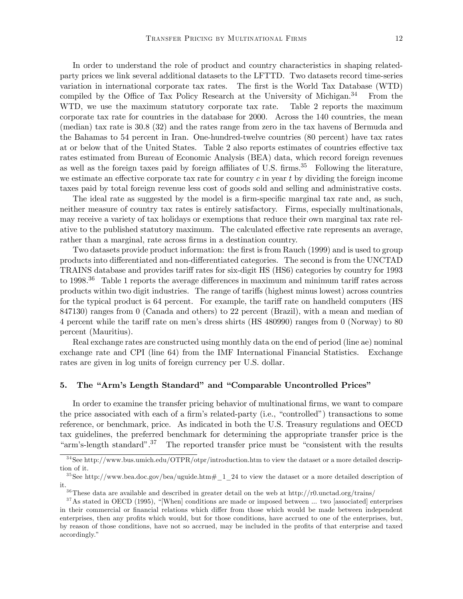In order to understand the role of product and country characteristics in shaping relatedparty prices we link several additional datasets to the LFTTD. Two datasets record time-series variation in international corporate tax rates. The first is the World Tax Database (WTD) compiled by the Office of Tax Policy Research at the University of Michigan. $34$  From the WTD, we use the maximum statutory corporate tax rate. Table 2 reports the maximum corporate tax rate for countries in the database for 2000. Across the 140 countries, the mean (median) tax rate is 30.8 (32) and the rates range from zero in the tax havens of Bermuda and the Bahamas to 54 percent in Iran. One-hundred-twelve countries (80 percent) have tax rates at or below that of the United States. Table 2 also reports estimates of countries effective tax rates estimated from Bureau of Economic Analysis (BEA) data, which record foreign revenues as well as the foreign taxes paid by foreign affiliates of U.S. firms.<sup>35</sup> Following the literature, we estimate an effective corporate tax rate for country  $c$  in year  $t$  by dividing the foreign income taxes paid by total foreign revenue less cost of goods sold and selling and administrative costs.

The ideal rate as suggested by the model is a firm-specific marginal tax rate and, as such, neither measure of country tax rates is entirely satisfactory. Firms, especially multinationals, may receive a variety of tax holidays or exemptions that reduce their own marginal tax rate relative to the published statutory maximum. The calculated effective rate represents an average, rather than a marginal, rate across firms in a destination country.

Two datasets provide product information: the first is from Rauch (1999) and is used to group products into differentiated and non-differentiated categories. The second is from the UNCTAD TRAINS database and provides tariff rates for six-digit HS (HS6) categories by country for 1993 to 1998.<sup>36</sup> Table 1 reports the average differences in maximum and minimum tariff rates across products within two digit industries. The range of tariffs (highest minus lowest) across countries for the typical product is 64 percent. For example, the tariff rate on handheld computers (HS 847130) ranges from 0 (Canada and others) to 22 percent (Brazil), with a mean and median of 4 percent while the tariff rate on men's dress shirts (HS 480990) ranges from 0 (Norway) to 80 percent (Mauritius).

Real exchange rates are constructed using monthly data on the end of period (line ae) nominal exchange rate and CPI (line 64) from the IMF International Financial Statistics. Exchange rates are given in log units of foreign currency per U.S. dollar.

#### 5. The "Arm's Length Standard" and "Comparable Uncontrolled Prices"

In order to examine the transfer pricing behavior of multinational firms, we want to compare the price associated with each of a firm's related-party (i.e., "controlled") transactions to some reference, or benchmark, price. As indicated in both the U.S. Treasury regulations and OECD tax guidelines, the preferred benchmark for determining the appropriate transfer price is the "carm's-length standard".<sup>37</sup> The reported transfer price must be "consistent with the results The reported transfer price must be "consistent with the results

 $34$ See http://www.bus.umich.edu/OTPR/otpr/introduction.htm to view the dataset or a more detailed description of it.

<sup>&</sup>lt;sup>35</sup>See http://www.bea.doc.gov/bea/uguide.htm#  $1$  24 to view the dataset or a more detailed description of

it.<br><sup>36</sup>These data are available and described in greater detail on the web at http://r0.unctad.org/trains/

<sup>&</sup>lt;sup>37</sup>As stated in OECD (1995), "[When] conditions are made or imposed between ... two [associated] enterprises in their commercial or financial relations which differ from those which would be made between independent enterprises, then any profits which would, but for those conditions, have accrued to one of the enterprises, but, by reason of those conditions, have not so accrued, may be included in the profits of that enterprise and taxed accordingly."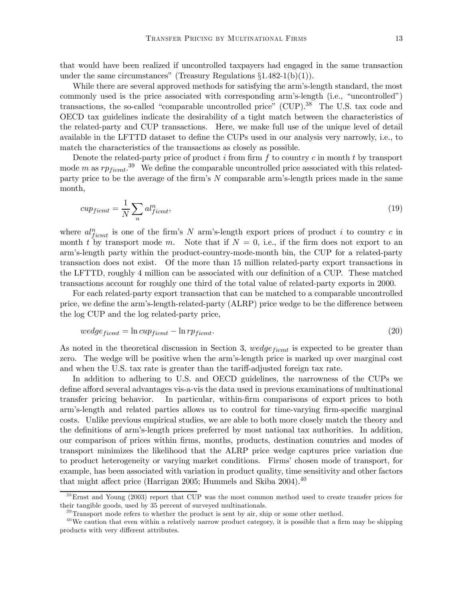that would have been realized if uncontrolled taxpayers had engaged in the same transaction under the same circumstances" (Treasury Regulations  $\S1.482-1(b)(1)$ ).

While there are several approved methods for satisfying the arm's-length standard, the most commonly used is the price associated with corresponding arm's-length (i.e., "uncontrolled") transactions, the so-called "comparable uncontrolled price" (CUP).<sup>38</sup> The U.S. tax code and OECD tax guidelines indicate the desirability of a tight match between the characteristics of the related-party and CUP transactions. Here, we make full use of the unique level of detail available in the LFTTD dataset to define the CUPs used in our analysis very narrowly, i.e., to match the characteristics of the transactions as closely as possible.

Denote the related-party price of product  $i$  from firm  $f$  to country  $c$  in month  $t$  by transport mode m as  $rp_{ficmt}.^{39}$  We define the comparable uncontrolled price associated with this relatedparty price to be the average of the firm's N comparable arm's-length prices made in the same month,

$$
cup_{ficmt} = \frac{1}{N} \sum_{n} al_{ficmt}^n,\tag{19}
$$

where  $al_{ficmt}^n$  is one of the firm's N arm's-length export prices of product i to country c in month t by transport mode m. Note that if  $N = 0$ , i.e., if the firm does not export to an arm's-length party within the product-country-mode-month bin, the CUP for a related-party transaction does not exist. Of the more than 15 million related-party export transactions in the LFTTD, roughly 4 million can be associated with our definition of a CUP. These matched transactions account for roughly one third of the total value of related-party exports in 2000.

For each related-party export transaction that can be matched to a comparable uncontrolled price, we define the arm's-length-related-party (ALRP) price wedge to be the difference between the log CUP and the log related-party price,

$$
wedge_{ficmt} = \ln cup_{ficmt} - \ln rp_{ficmt}.\tag{20}
$$

As noted in the theoretical discussion in Section 3,  $wedge_{ficmt}$  is expected to be greater than zero. The wedge will be positive when the arm's-length price is marked up over marginal cost and when the U.S. tax rate is greater than the tariff-adjusted foreign tax rate.

In addition to adhering to U.S. and OECD guidelines, the narrowness of the CUPs we define afford several advantages vis-a-vis the data used in previous examinations of multinational transfer pricing behavior. In particular, within-firm comparisons of export prices to both arm's-length and related parties allows us to control for time-varying firm-specific marginal costs. Unlike previous empirical studies, we are able to both more closely match the theory and the definitions of arm's-length prices preferred by most national tax authorities. In addition, our comparison of prices within firms, months, products, destination countries and modes of transport minimizes the likelihood that the ALRP price wedge captures price variation due to product heterogeneity or varying market conditions. Firms' chosen mode of transport, for example, has been associated with variation in product quality, time sensitivity and other factors that might affect price (Harrigan 2005; Hummels and Skiba  $2004$ ).<sup>40</sup>

<sup>&</sup>lt;sup>38</sup>Ernst and Young (2003) report that CUP was the most common method used to create transfer prices for their tangible goods, used by 35 percent of surveyed multinationals.

 $39$ Transport mode refers to whether the product is sent by air, ship or some other method.

 $^{40}$  We caution that even within a relatively narrow product category, it is possible that a firm may be shipping products with very different attributes.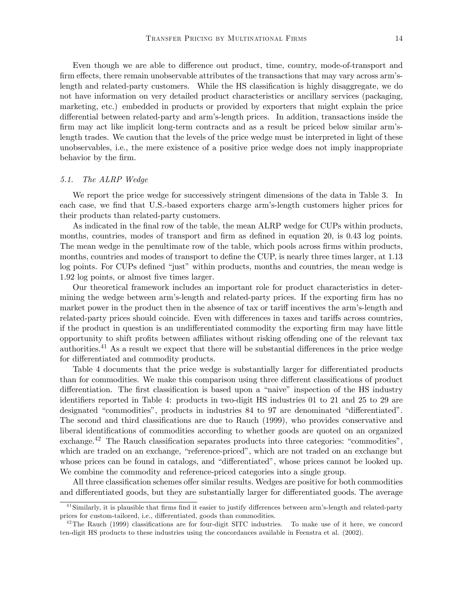Even though we are able to difference out product, time, country, mode-of-transport and firm effects, there remain unobservable attributes of the transactions that may vary across arm'slength and related-party customers. While the HS classification is highly disaggregate, we do not have information on very detailed product characteristics or ancillary services (packaging, marketing, etc.) embedded in products or provided by exporters that might explain the price differential between related-party and arm's-length prices. In addition, transactions inside the firm may act like implicit long-term contracts and as a result be priced below similar arm'slength trades. We caution that the levels of the price wedge must be interpreted in light of these unobservables, i.e., the mere existence of a positive price wedge does not imply inappropriate behavior by the firm.

### 5.1. The ALRP Wedge

We report the price wedge for successively stringent dimensions of the data in Table 3. In each case, we find that U.S.-based exporters charge arm's-length customers higher prices for their products than related-party customers.

As indicated in the final row of the table, the mean ALRP wedge for CUPs within products, months, countries, modes of transport and firm as defined in equation 20, is 0.43 log points. The mean wedge in the penultimate row of the table, which pools across firms within products, months, countries and modes of transport to define the CUP, is nearly three times larger, at 1.13 log points. For CUPs defined "just" within products, months and countries, the mean wedge is 1.92 log points, or almost five times larger.

Our theoretical framework includes an important role for product characteristics in determining the wedge between arm's-length and related-party prices. If the exporting firm has no market power in the product then in the absence of tax or tariff incentives the arm's-length and related-party prices should coincide. Even with differences in taxes and tariffs across countries, if the product in question is an undifferentiated commodity the exporting firm may have little opportunity to shift profits between affiliates without risking offending one of the relevant tax authorities.<sup>41</sup> As a result we expect that there will be substantial differences in the price wedge for differentiated and commodity products.

Table 4 documents that the price wedge is substantially larger for differentiated products than for commodities. We make this comparison using three different classifications of product differentiation. The first classification is based upon a "naive" inspection of the HS industry identifiers reported in Table 4: products in two-digit HS industries 01 to 21 and 25 to 29 are designated "commodities", products in industries 84 to 97 are denominated "differentiated". The second and third classifications are due to Rauch (1999), who provides conservative and liberal identifications of commodities according to whether goods are quoted on an organized exchange.<sup>42</sup> The Rauch classification separates products into three categories: "commodities", which are traded on an exchange, "reference-priced", which are not traded on an exchange but whose prices can be found in catalogs, and "differentiated", whose prices cannot be looked up. We combine the commodity and reference-priced categories into a single group.

All three classification schemes offer similar results. Wedges are positive for both commodities and differentiated goods, but they are substantially larger for differentiated goods. The average

 $^{41}$ Similarly, it is plausible that firms find it easier to justify differences between arm's-length and related-party prices for custom-tailored, i.e., differentiated, goods than commodities.

 $42$ The Rauch (1999) classifications are for four-digit SITC industries. To make use of it here, we concord ten-digit HS products to these industries using the concordances available in Feenstra et al. (2002).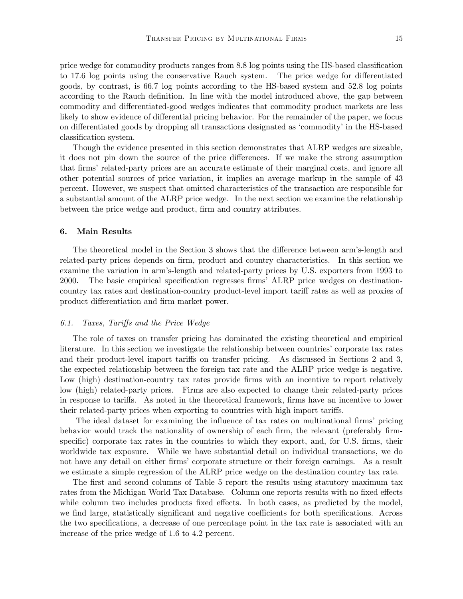price wedge for commodity products ranges from 8.8 log points using the HS-based classification to 17.6 log points using the conservative Rauch system. The price wedge for differentiated goods, by contrast, is 66.7 log points according to the HS-based system and 52.8 log points according to the Rauch definition. In line with the model introduced above, the gap between commodity and differentiated-good wedges indicates that commodity product markets are less likely to show evidence of differential pricing behavior. For the remainder of the paper, we focus on differentiated goods by dropping all transactions designated as 'commodity' in the HS-based classification system.

Though the evidence presented in this section demonstrates that ALRP wedges are sizeable, it does not pin down the source of the price differences. If we make the strong assumption that firms' related-party prices are an accurate estimate of their marginal costs, and ignore all other potential sources of price variation, it implies an average markup in the sample of 43 percent. However, we suspect that omitted characteristics of the transaction are responsible for a substantial amount of the ALRP price wedge. In the next section we examine the relationship between the price wedge and product, firm and country attributes.

#### 6. Main Results

The theoretical model in the Section 3 shows that the difference between arm's-length and related-party prices depends on firm, product and country characteristics. In this section we examine the variation in arm's-length and related-party prices by U.S. exporters from 1993 to 2000. The basic empirical specification regresses firms' ALRP price wedges on destinationcountry tax rates and destination-country product-level import tariff rates as well as proxies of product differentiation and firm market power.

#### 6.1. Taxes, Tariffs and the Price Wedge

The role of taxes on transfer pricing has dominated the existing theoretical and empirical literature. In this section we investigate the relationship between countries' corporate tax rates and their product-level import tariffs on transfer pricing. As discussed in Sections 2 and 3, the expected relationship between the foreign tax rate and the ALRP price wedge is negative. Low (high) destination-country tax rates provide firms with an incentive to report relatively low (high) related-party prices. Firms are also expected to change their related-party prices in response to tariffs. As noted in the theoretical framework, firms have an incentive to lower their related-party prices when exporting to countries with high import tariffs.

The ideal dataset for examining the influence of tax rates on multinational firms' pricing behavior would track the nationality of ownership of each firm, the relevant (preferably firmspecific) corporate tax rates in the countries to which they export, and, for U.S. firms, their worldwide tax exposure. While we have substantial detail on individual transactions, we do not have any detail on either firms' corporate structure or their foreign earnings. As a result we estimate a simple regression of the ALRP price wedge on the destination country tax rate.

The first and second columns of Table 5 report the results using statutory maximum tax rates from the Michigan World Tax Database. Column one reports results with no fixed effects while column two includes products fixed effects. In both cases, as predicted by the model, we find large, statistically significant and negative coefficients for both specifications. Across the two specifications, a decrease of one percentage point in the tax rate is associated with an increase of the price wedge of 1.6 to 4.2 percent.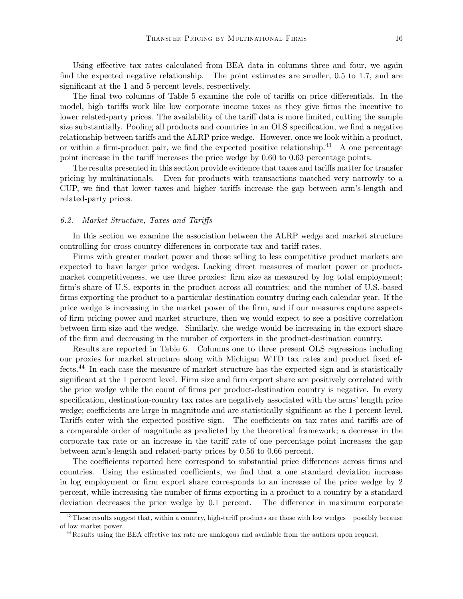Using effective tax rates calculated from BEA data in columns three and four, we again find the expected negative relationship. The point estimates are smaller, 0.5 to 1.7, and are significant at the 1 and 5 percent levels, respectively.

The final two columns of Table 5 examine the role of tariffs on price differentials. In the model, high tariffs work like low corporate income taxes as they give firms the incentive to lower related-party prices. The availability of the tariff data is more limited, cutting the sample size substantially. Pooling all products and countries in an OLS specification, we find a negative relationship between tariffs and the ALRP price wedge. However, once we look within a product, or within a firm-product pair, we find the expected positive relationship.<sup>43</sup> A one percentage point increase in the tariff increases the price wedge by 0.60 to 0.63 percentage points.

The results presented in this section provide evidence that taxes and tariffs matter for transfer pricing by multinationals. Even for products with transactions matched very narrowly to a CUP, we find that lower taxes and higher tariffs increase the gap between arm's-length and related-party prices.

## 6.2. Market Structure, Taxes and Tariffs

In this section we examine the association between the ALRP wedge and market structure controlling for cross-country differences in corporate tax and tariff rates.

Firms with greater market power and those selling to less competitive product markets are expected to have larger price wedges. Lacking direct measures of market power or productmarket competitiveness, we use three proxies: firm size as measured by log total employment; firm's share of U.S. exports in the product across all countries; and the number of U.S.-based firms exporting the product to a particular destination country during each calendar year. If the price wedge is increasing in the market power of the firm, and if our measures capture aspects of firm pricing power and market structure, then we would expect to see a positive correlation between firm size and the wedge. Similarly, the wedge would be increasing in the export share of the firm and decreasing in the number of exporters in the product-destination country.

Results are reported in Table 6. Columns one to three present OLS regressions including our proxies for market structure along with Michigan WTD tax rates and product fixed effects.44 In each case the measure of market structure has the expected sign and is statistically significant at the 1 percent level. Firm size and firm export share are positively correlated with the price wedge while the count of firms per product-destination country is negative. In every specification, destination-country tax rates are negatively associated with the arms' length price wedge; coefficients are large in magnitude and are statistically significant at the 1 percent level. Tariffs enter with the expected positive sign. The coefficients on tax rates and tariffs are of a comparable order of magnitude as predicted by the theoretical framework; a decrease in the corporate tax rate or an increase in the tariff rate of one percentage point increases the gap between arm's-length and related-party prices by 0.56 to 0.66 percent.

The coefficients reported here correspond to substantial price differences across firms and countries. Using the estimated coefficients, we find that a one standard deviation increase in log employment or firm export share corresponds to an increase of the price wedge by 2 percent, while increasing the number of firms exporting in a product to a country by a standard deviation decreases the price wedge by 0.1 percent. The difference in maximum corporate

 $^{43}$  These results suggest that, within a country, high-tariff products are those with low wedges – possibly because of low market power.

<sup>&</sup>lt;sup>44</sup> Results using the BEA effective tax rate are analogous and available from the authors upon request.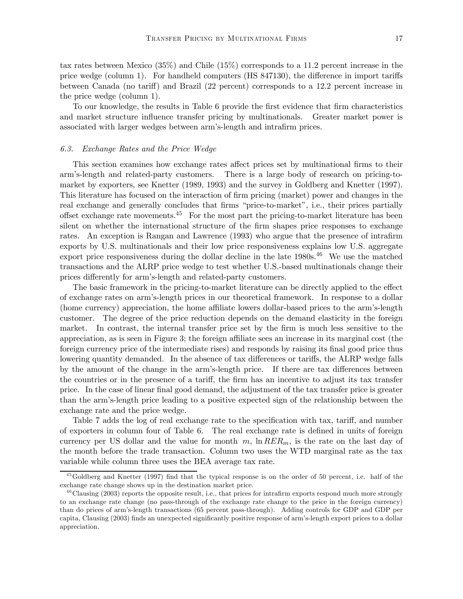tax rates between Mexico (35%) and Chile (15%) corresponds to a 11.2 percent increase in the price wedge (column 1). For handheld computers (HS 847130), the difference in import tariffs between Canada (no tariff) and Brazil (22 percent) corresponds to a 12.2 percent increase in the price wedge (column 1).

To our knowledge, the results in Table 6 provide the first evidence that firm characteristics and market structure influence transfer pricing by multinationals. Greater market power is associated with larger wedges between arm's-length and intrafirm prices.

#### 6.3. Exchange Rates and the Price Wedge

This section examines how exchange rates affect prices set by multinational firms to their arm's-length and related-party customers. There is a large body of research on pricing-tomarket by exporters, see Knetter (1989, 1993) and the survey in Goldberg and Knetter (1997). This literature has focused on the interaction of firm pricing (market) power and changes in the real exchange and generally concludes that firms "price-to-market", i.e., their prices partially offset exchange rate movements.<sup>45</sup> For the most part the pricing-to-market literature has been silent on whether the international structure of the firm shapes price responses to exchange rates. An exception is Rangan and Lawrence (1993) who argue that the presence of intrafirm exports by U.S. multinationals and their low price responsiveness explains low U.S. aggregate export price responsiveness during the dollar decline in the late  $1980s<sup>46</sup>$  We use the matched transactions and the ALRP price wedge to test whether U.S.-based multinationals change their prices differently for arm's-length and related-party customers.

The basic framework in the pricing-to-market literature can be directly applied to the effect of exchange rates on arm's-length prices in our theoretical framework. In response to a dollar (home currency) appreciation, the home affiliate lowers dollar-based prices to the arm's-length customer. The degree of the price reduction depends on the demand elasticity in the foreign market. In contrast, the internal transfer price set by the firm is much less sensitive to the appreciation, as is seen in Figure 3; the foreign affiliate sees an increase in its marginal cost (the foreign currency price of the intermediate rises) and responds by raising its final good price thus lowering quantity demanded. In the absence of tax differences or tariffs, the ALRP wedge falls by the amount of the change in the arm's-length price. If there are tax differences between the countries or in the presence of a tariff, the firm has an incentive to adjust its tax transfer price. In the case of linear final good demand, the adjustment of the tax transfer price is greater than the arm's-length price leading to a positive expected sign of the relationship between the exchange rate and the price wedge.

Table 7 adds the log of real exchange rate to the specification with tax, tariff, and number of exporters in column four of Table 6. The real exchange rate is defined in units of foreign currency per US dollar and the value for month  $m$ ,  $\ln RER_m$ , is the rate on the last day of the month before the trade transaction. Column two uses the WTD marginal rate as the tax variable while column three uses the BEA average tax rate.

<sup>&</sup>lt;sup>45</sup>Goldberg and Knetter (1997) find that the typical response is on the order of 50 percent, i.e. half of the exchange rate change shows up in the destination market price.

 $^{46}$ Clausing (2003) reports the opposite result, i.e., that prices for intrafirm exports respond much more strongly to an exchange rate change (no pass-through of the exchange rate change to the price in the foreign currency) than do prices of arm's-length transactions (65 percent pass-through). Adding controls for GDP and GDP per capita, Clausing (2003) finds an unexpected significantly positive response of arm's-length export prices to a dollar appreciation.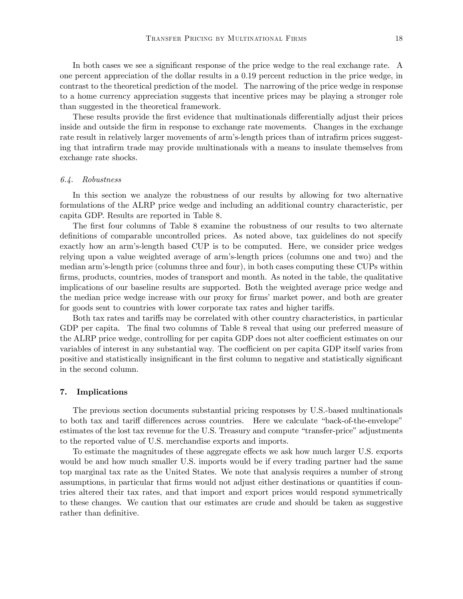In both cases we see a significant response of the price wedge to the real exchange rate. A one percent appreciation of the dollar results in a 0.19 percent reduction in the price wedge, in contrast to the theoretical prediction of the model. The narrowing of the price wedge in response to a home currency appreciation suggests that incentive prices may be playing a stronger role than suggested in the theoretical framework.

These results provide the first evidence that multinationals differentially adjust their prices inside and outside the firm in response to exchange rate movements. Changes in the exchange rate result in relatively larger movements of arm's-length prices than of intrafirm prices suggesting that intrafirm trade may provide multinationals with a means to insulate themselves from exchange rate shocks.

### 6.4. Robustness

In this section we analyze the robustness of our results by allowing for two alternative formulations of the ALRP price wedge and including an additional country characteristic, per capita GDP. Results are reported in Table 8.

The first four columns of Table 8 examine the robustness of our results to two alternate definitions of comparable uncontrolled prices. As noted above, tax guidelines do not specify exactly how an arm's-length based CUP is to be computed. Here, we consider price wedges relying upon a value weighted average of arm's-length prices (columns one and two) and the median arm's-length price (columns three and four), in both cases computing these CUPs within firms, products, countries, modes of transport and month. As noted in the table, the qualitative implications of our baseline results are supported. Both the weighted average price wedge and the median price wedge increase with our proxy for firms' market power, and both are greater for goods sent to countries with lower corporate tax rates and higher tariffs.

Both tax rates and tariffs may be correlated with other country characteristics, in particular GDP per capita. The final two columns of Table 8 reveal that using our preferred measure of the ALRP price wedge, controlling for per capita GDP does not alter coefficient estimates on our variables of interest in any substantial way. The coefficient on per capita GDP itself varies from positive and statistically insignificant in the first column to negative and statistically significant in the second column.

### 7. Implications

The previous section documents substantial pricing responses by U.S.-based multinationals to both tax and tariff differences across countries. Here we calculate "back-of-the-envelope" estimates of the lost tax revenue for the U.S. Treasury and compute "transfer-price" adjustments to the reported value of U.S. merchandise exports and imports.

To estimate the magnitudes of these aggregate effects we ask how much larger U.S. exports would be and how much smaller U.S. imports would be if every trading partner had the same top marginal tax rate as the United States. We note that analysis requires a number of strong assumptions, in particular that firms would not adjust either destinations or quantities if countries altered their tax rates, and that import and export prices would respond symmetrically to these changes. We caution that our estimates are crude and should be taken as suggestive rather than definitive.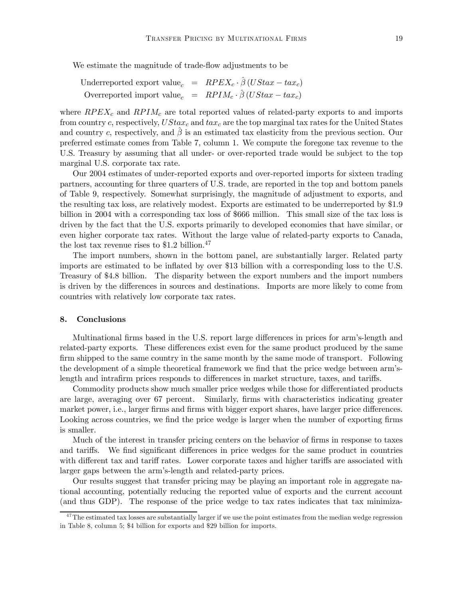We estimate the magnitude of trade-flow adjustments to be

Underreported export value<sub>c</sub> = 
$$
RPEX_c \cdot \hat{\beta}
$$
 ( $UStax - tax_c$ )  
Overreported import value<sub>c</sub> =  $RPIM_c \cdot \hat{\beta}$  ( $UStax - tax_c$ )

where  $RPEX_c$  and  $RPIM_c$  are total reported values of related-party exports to and imports from country c, respectively,  $UStax_c$  and  $tax_c$  are the top marginal tax rates for the United States and country c, respectively, and  $\hat{\beta}$  is an estimated tax elasticity from the previous section. Our preferred estimate comes from Table 7, column 1. We compute the foregone tax revenue to the U.S. Treasury by assuming that all under- or over-reported trade would be subject to the top marginal U.S. corporate tax rate.

Our 2004 estimates of under-reported exports and over-reported imports for sixteen trading partners, accounting for three quarters of U.S. trade, are reported in the top and bottom panels of Table 9, respectively. Somewhat surprisingly, the magnitude of adjustment to exports, and the resulting tax loss, are relatively modest. Exports are estimated to be underreported by \$1.9 billion in 2004 with a corresponding tax loss of \$666 million. This small size of the tax loss is driven by the fact that the U.S. exports primarily to developed economies that have similar, or even higher corporate tax rates. Without the large value of related-party exports to Canada, the lost tax revenue rises to  $$1.2$  billion.<sup>47</sup>

The import numbers, shown in the bottom panel, are substantially larger. Related party imports are estimated to be inflated by over \$13 billion with a corresponding loss to the U.S. Treasury of \$4.8 billion. The disparity between the export numbers and the import numbers is driven by the differences in sources and destinations. Imports are more likely to come from countries with relatively low corporate tax rates.

### 8. Conclusions

Multinational firms based in the U.S. report large differences in prices for arm's-length and related-party exports. These differences exist even for the same product produced by the same firm shipped to the same country in the same month by the same mode of transport. Following the development of a simple theoretical framework we find that the price wedge between arm'slength and intrafirm prices responds to differences in market structure, taxes, and tariffs.

Commodity products show much smaller price wedges while those for differentiated products are large, averaging over 67 percent. Similarly, firms with characteristics indicating greater market power, i.e., larger firms and firms with bigger export shares, have larger price differences. Looking across countries, we find the price wedge is larger when the number of exporting firms is smaller.

Much of the interest in transfer pricing centers on the behavior of firms in response to taxes and tariffs. We find significant differences in price wedges for the same product in countries with different tax and tariff rates. Lower corporate taxes and higher tariffs are associated with larger gaps between the arm's-length and related-party prices.

Our results suggest that transfer pricing may be playing an important role in aggregate national accounting, potentially reducing the reported value of exports and the current account (and thus GDP). The response of the price wedge to tax rates indicates that tax minimiza-

 $47$ The estimated tax losses are substantially larger if we use the point estimates from the median wedge regression in Table 8, column 5; \$4 billion for exports and \$29 billion for imports.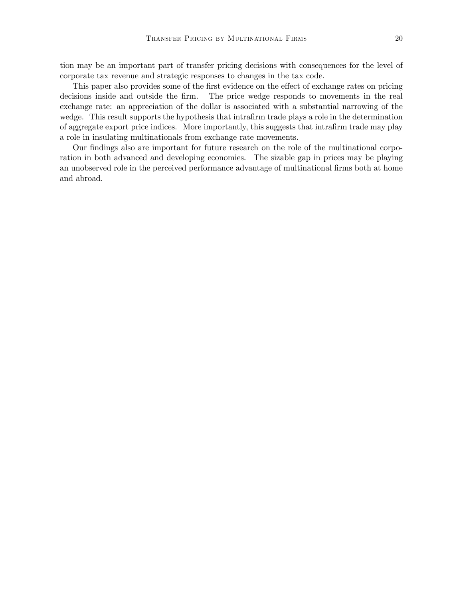tion may be an important part of transfer pricing decisions with consequences for the level of corporate tax revenue and strategic responses to changes in the tax code.

This paper also provides some of the first evidence on the effect of exchange rates on pricing decisions inside and outside the firm. The price wedge responds to movements in the real exchange rate: an appreciation of the dollar is associated with a substantial narrowing of the wedge. This result supports the hypothesis that intrafirm trade plays a role in the determination of aggregate export price indices. More importantly, this suggests that intrafirm trade may play a role in insulating multinationals from exchange rate movements.

Our findings also are important for future research on the role of the multinational corporation in both advanced and developing economies. The sizable gap in prices may be playing an unobserved role in the perceived performance advantage of multinational firms both at home and abroad.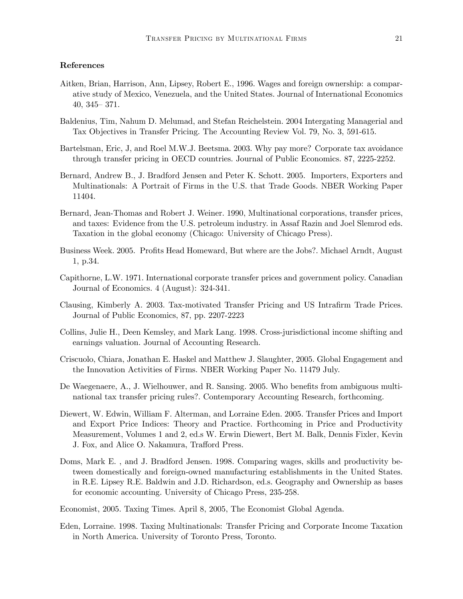### References

- Aitken, Brian, Harrison, Ann, Lipsey, Robert E., 1996. Wages and foreign ownership: a comparative study of Mexico, Venezuela, and the United States. Journal of International Economics 40, 345— 371.
- Baldenius, Tim, Nahum D. Melumad, and Stefan Reichelstein. 2004 Intergating Managerial and Tax Objectives in Transfer Pricing. The Accounting Review Vol. 79, No. 3, 591-615.
- Bartelsman, Eric, J, and Roel M.W.J. Beetsma. 2003. Why pay more? Corporate tax avoidance through transfer pricing in OECD countries. Journal of Public Economics. 87, 2225-2252.
- Bernard, Andrew B., J. Bradford Jensen and Peter K. Schott. 2005. Importers, Exporters and Multinationals: A Portrait of Firms in the U.S. that Trade Goods. NBER Working Paper 11404.
- Bernard, Jean-Thomas and Robert J. Weiner. 1990, Multinational corporations, transfer prices, and taxes: Evidence from the U.S. petroleum industry. in Assaf Razin and Joel Slemrod eds. Taxation in the global economy (Chicago: University of Chicago Press).
- Business Week. 2005. Profits Head Homeward, But where are the Jobs?. Michael Arndt, August 1, p.34.
- Capithorne, L.W. 1971. International corporate transfer prices and government policy. Canadian Journal of Economics. 4 (August): 324-341.
- Clausing, Kimberly A. 2003. Tax-motivated Transfer Pricing and US Intrafirm Trade Prices. Journal of Public Economics, 87, pp. 2207-2223
- Collins, Julie H., Deen Kemsley, and Mark Lang. 1998. Cross-jurisdictional income shifting and earnings valuation. Journal of Accounting Research.
- Criscuolo, Chiara, Jonathan E. Haskel and Matthew J. Slaughter, 2005. Global Engagement and the Innovation Activities of Firms. NBER Working Paper No. 11479 July.
- De Waegenaere, A., J. Wielhouwer, and R. Sansing. 2005. Who benefits from ambiguous multinational tax transfer pricing rules?. Contemporary Accounting Research, forthcoming.
- Diewert, W. Edwin, William F. Alterman, and Lorraine Eden. 2005. Transfer Prices and Import and Export Price Indices: Theory and Practice. Forthcoming in Price and Productivity Measurement, Volumes 1 and 2, ed.s W. Erwin Diewert, Bert M. Balk, Dennis Fixler, Kevin J. Fox, and Alice O. Nakamura, Trafford Press.
- Doms, Mark E. , and J. Bradford Jensen. 1998. Comparing wages, skills and productivity between domestically and foreign-owned manufacturing establishments in the United States. in R.E. Lipsey R.E. Baldwin and J.D. Richardson, ed.s. Geography and Ownership as bases for economic accounting. University of Chicago Press, 235-258.
- Economist, 2005. Taxing Times. April 8, 2005, The Economist Global Agenda.
- Eden, Lorraine. 1998. Taxing Multinationals: Transfer Pricing and Corporate Income Taxation in North America. University of Toronto Press, Toronto.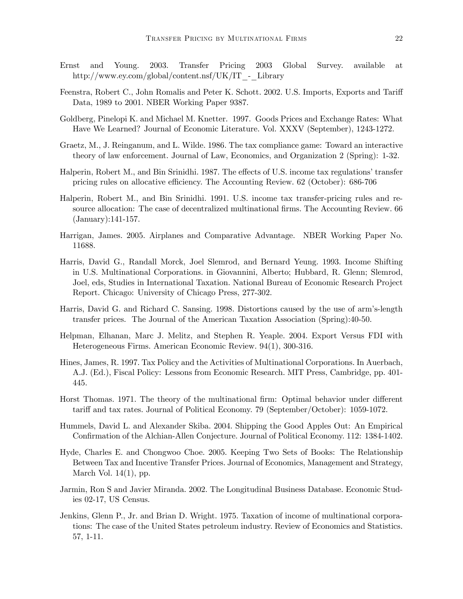- Ernst and Young. 2003. Transfer Pricing 2003 Global Survey. available at http://www.ey.com/global/content.nsf/UK/IT\_-\_Library
- Feenstra, Robert C., John Romalis and Peter K. Schott. 2002. U.S. Imports, Exports and Tariff Data, 1989 to 2001. NBER Working Paper 9387.
- Goldberg, Pinelopi K. and Michael M. Knetter. 1997. Goods Prices and Exchange Rates: What Have We Learned? Journal of Economic Literature. Vol. XXXV (September), 1243-1272.
- Graetz, M., J. Reinganum, and L. Wilde. 1986. The tax compliance game: Toward an interactive theory of law enforcement. Journal of Law, Economics, and Organization 2 (Spring): 1-32.
- Halperin, Robert M., and Bin Srinidhi. 1987. The effects of U.S. income tax regulations' transfer pricing rules on allocative efficiency. The Accounting Review. 62 (October): 686-706
- Halperin, Robert M., and Bin Srinidhi. 1991. U.S. income tax transfer-pricing rules and resource allocation: The case of decentralized multinational firms. The Accounting Review. 66 (January):141-157.
- Harrigan, James. 2005. Airplanes and Comparative Advantage. NBER Working Paper No. 11688.
- Harris, David G., Randall Morck, Joel Slemrod, and Bernard Yeung. 1993. Income Shifting in U.S. Multinational Corporations. in Giovannini, Alberto; Hubbard, R. Glenn; Slemrod, Joel, eds, Studies in International Taxation. National Bureau of Economic Research Project Report. Chicago: University of Chicago Press, 277-302.
- Harris, David G. and Richard C. Sansing. 1998. Distortions caused by the use of arm's-length transfer prices. The Journal of the American Taxation Association (Spring):40-50.
- Helpman, Elhanan, Marc J. Melitz, and Stephen R. Yeaple. 2004. Export Versus FDI with Heterogeneous Firms. American Economic Review. 94(1), 300-316.
- Hines, James, R. 1997. Tax Policy and the Activities of Multinational Corporations. In Auerbach, A.J. (Ed.), Fiscal Policy: Lessons from Economic Research. MIT Press, Cambridge, pp. 401- 445.
- Horst Thomas. 1971. The theory of the multinational firm: Optimal behavior under different tariff and tax rates. Journal of Political Economy. 79 (September/October): 1059-1072.
- Hummels, David L. and Alexander Skiba. 2004. Shipping the Good Apples Out: An Empirical Confirmation of the Alchian-Allen Conjecture. Journal of Political Economy. 112: 1384-1402.
- Hyde, Charles E. and Chongwoo Choe. 2005. Keeping Two Sets of Books: The Relationship Between Tax and Incentive Transfer Prices. Journal of Economics, Management and Strategy, March Vol.  $14(1)$ , pp.
- Jarmin, Ron S and Javier Miranda. 2002. The Longitudinal Business Database. Economic Studies 02-17, US Census.
- Jenkins, Glenn P., Jr. and Brian D. Wright. 1975. Taxation of income of multinational corporations: The case of the United States petroleum industry. Review of Economics and Statistics. 57, 1-11.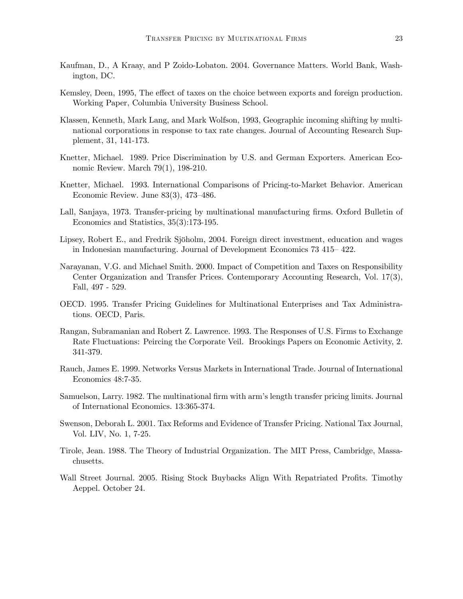- Kaufman, D., A Kraay, and P Zoido-Lobaton. 2004. Governance Matters. World Bank, Washington, DC.
- Kemsley, Deen, 1995, The effect of taxes on the choice between exports and foreign production. Working Paper, Columbia University Business School.
- Klassen, Kenneth, Mark Lang, and Mark Wolfson, 1993, Geographic incoming shifting by multinational corporations in response to tax rate changes. Journal of Accounting Research Supplement, 31, 141-173.
- Knetter, Michael. 1989. Price Discrimination by U.S. and German Exporters. American Economic Review. March 79(1), 198-210.
- Knetter, Michael. 1993. International Comparisons of Pricing-to-Market Behavior. American Economic Review. June 83(3), 473—486.
- Lall, Sanjaya, 1973. Transfer-pricing by multinational manufacturing firms. Oxford Bulletin of Economics and Statistics, 35(3):173-195.
- Lipsey, Robert E., and Fredrik Sjöholm, 2004. Foreign direct investment, education and wages in Indonesian manufacturing. Journal of Development Economics 73 415— 422.
- Narayanan, V.G. and Michael Smith. 2000. Impact of Competition and Taxes on Responsibility Center Organization and Transfer Prices. Contemporary Accounting Research, Vol. 17(3), Fall, 497 - 529.
- OECD. 1995. Transfer Pricing Guidelines for Multinational Enterprises and Tax Administrations. OECD, Paris.
- Rangan, Subramanian and Robert Z. Lawrence. 1993. The Responses of U.S. Firms to Exchange Rate Fluctuations: Peircing the Corporate Veil. Brookings Papers on Economic Activity, 2. 341-379.
- Rauch, James E. 1999. Networks Versus Markets in International Trade. Journal of International Economics 48:7-35.
- Samuelson, Larry. 1982. The multinational firm with arm's length transfer pricing limits. Journal of International Economics. 13:365-374.
- Swenson, Deborah L. 2001. Tax Reforms and Evidence of Transfer Pricing. National Tax Journal, Vol. LIV, No. 1, 7-25.
- Tirole, Jean. 1988. The Theory of Industrial Organization. The MIT Press, Cambridge, Massachusetts.
- Wall Street Journal. 2005. Rising Stock Buybacks Align With Repatriated Profits. Timothy Aeppel. October 24.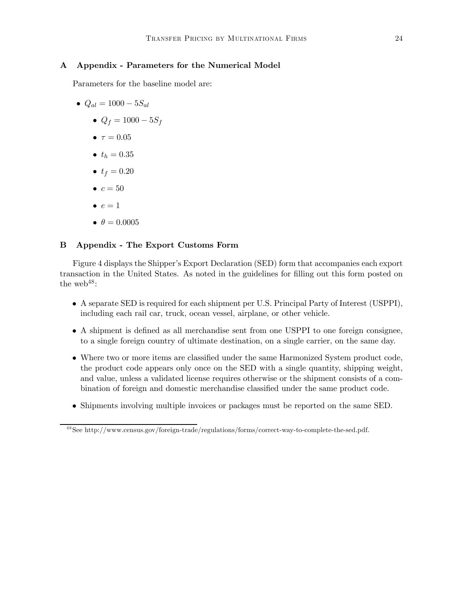### A Appendix - Parameters for the Numerical Model

Parameters for the baseline model are:

- $Q_{al} = 1000 5S_{al}$ 
	- $Q_f = 1000 5S_f$
	- $\tau = 0.05$
	- $t_h = 0.35$
	- $t_f = 0.20$
	- $\bullet \, c = 50$
	- $\bullet$   $e = 1$
	- $\theta = 0.0005$

### B Appendix - The Export Customs Form

Figure 4 displays the Shipper's Export Declaration (SED) form that accompanies each export transaction in the United States. As noted in the guidelines for filling out this form posted on the web<sup>48</sup>:

- A separate SED is required for each shipment per U.S. Principal Party of Interest (USPPI), including each rail car, truck, ocean vessel, airplane, or other vehicle.
- A shipment is defined as all merchandise sent from one USPPI to one foreign consignee, to a single foreign country of ultimate destination, on a single carrier, on the same day.
- Where two or more items are classified under the same Harmonized System product code, the product code appears only once on the SED with a single quantity, shipping weight, and value, unless a validated license requires otherwise or the shipment consists of a combination of foreign and domestic merchandise classified under the same product code.
- Shipments involving multiple invoices or packages must be reported on the same SED.

<sup>4 8</sup>See http://www.census.gov/foreign-trade/regulations/forms/correct-way-to-complete-the-sed.pdf.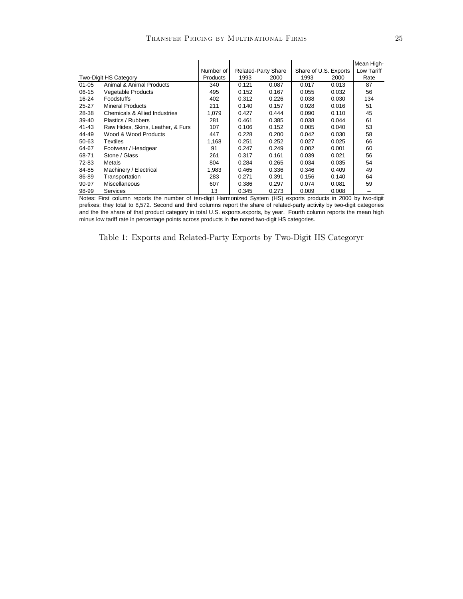|           |                                   |                 |       |                            |       |                       | Mean High- |
|-----------|-----------------------------------|-----------------|-------|----------------------------|-------|-----------------------|------------|
|           |                                   | Number of       |       | <b>Related-Party Share</b> |       | Share of U.S. Exports | Low Tariff |
|           | <b>Two-Digit HS Category</b>      | <b>Products</b> | 1993  | 2000                       | 1993  | 2000                  | Rate       |
| $01 - 05$ | Animal & Animal Products          | 340             | 0.121 | 0.087                      | 0.017 | 0.013                 | 87         |
| 06-15     | Vegetable Products                | 495             | 0.152 | 0.167                      | 0.055 | 0.032                 | 56         |
| 16-24     | Foodstuffs                        | 402             | 0.312 | 0.226                      | 0.038 | 0.030                 | 134        |
| 25-27     | <b>Mineral Products</b>           | 211             | 0.140 | 0.157                      | 0.028 | 0.016                 | 51         |
| 28-38     | Chemicals & Allied Industries     | 1.079           | 0.427 | 0.444                      | 0.090 | 0.110                 | 45         |
| 39-40     | Plastics / Rubbers                | 281             | 0.461 | 0.385                      | 0.038 | 0.044                 | 61         |
| 41-43     | Raw Hides, Skins, Leather, & Furs | 107             | 0.106 | 0.152                      | 0.005 | 0.040                 | 53         |
| 44-49     | Wood & Wood Products              | 447             | 0.228 | 0.200                      | 0.042 | 0.030                 | 58         |
| 50-63     | Textiles                          | 1,168           | 0.251 | 0.252                      | 0.027 | 0.025                 | 66         |
| 64-67     | Footwear / Headgear               | 91              | 0.247 | 0.249                      | 0.002 | 0.001                 | 60         |
| 68-71     | Stone / Glass                     | 261             | 0.317 | 0.161                      | 0.039 | 0.021                 | 56         |
| 72-83     | Metals                            | 804             | 0.284 | 0.265                      | 0.034 | 0.035                 | 54         |
| 84-85     | Machinery / Electrical            | 1,983           | 0.465 | 0.336                      | 0.346 | 0.409                 | 49         |
| 86-89     | Transportation                    | 283             | 0.271 | 0.391                      | 0.156 | 0.140                 | 64         |
| 90-97     | <b>Miscellaneous</b>              | 607             | 0.386 | 0.297                      | 0.074 | 0.081                 | 59         |
| 98-99     | Services                          | 13              | 0.345 | 0.273                      | 0.009 | 0.008                 |            |

Notes: First column reports the number of ten-digit Harmonized System (HS) exports products in 2000 by two-digit prefixes; they total to 8,572. Second and third columns report the share of related-party activity by two-digit categories and the the share of that product category in total U.S. exports.exports, by year. Fourth column reports the mean high minus low tariff rate in percentage points across products in the noted two-digit HS categories.

| Table 1: Exports and Related-Party Exports by Two-Digit HS Categoryr |  |  |
|----------------------------------------------------------------------|--|--|
|                                                                      |  |  |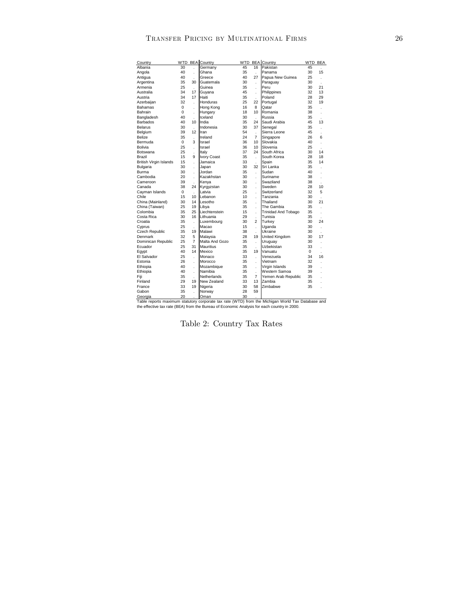| Country                |          |                                | WTD BEA Country    | WTD      |                      | <b>BEA</b> Country         | WTD BEA  |                      |
|------------------------|----------|--------------------------------|--------------------|----------|----------------------|----------------------------|----------|----------------------|
| Albania                | 30       |                                | Germany            | 45       | 16                   | Pakistan                   | 45       |                      |
| Angola                 | 40       | ï                              | Ghana              | 35       | ä.                   | Panama                     | 30       | 15                   |
| Antigua                | 40       | l,                             | Greece             | 40       | 27                   | Papua New Guinea           | 25       | i.                   |
| Argentina              | 35       | 30                             | Guatemala          | 30       | i.                   | Paraguay                   | 30       | ÷.                   |
| Armenia                | 25       | ï                              | Guinea             | 35       | i.                   | Peru                       | 30       | 21                   |
| Australia              | 34       | 17                             | Guyana             | 45       | $\ddot{\phantom{0}}$ | Philippines                | 32       | 13                   |
| Austria                | 34       | 17                             | Haiti              | 35       |                      | Poland                     | 28       | 29                   |
| Azerbaijan             | 32       |                                | Honduras           | 25       | 22                   | Portugal                   | 32       | 19                   |
| Bahamas                | 0        | ä,                             | Hong Kong          | 16       | 8                    | Qatar                      | 35       | $\ddot{\phantom{0}}$ |
| Bahrain                | 0        | ï                              | Hungary            | 18       | 10                   | Romania                    | 38       | i.                   |
| Bangladesh             | 40       |                                | Iceland            | 30       | ÷.                   | Russia                     | 35       |                      |
| Barbados               | 40       | 10                             | India              | 35       | 24                   | Saudi Arabia               | 45       | 13                   |
| Belarus                | 30       | $\cdot$                        | Indonesia          | 30       | 37                   | Senegal                    | 35       |                      |
| Belgium                | 39       | 12                             | Iran               | 54       | i.                   | Sierra Leone               | 45       |                      |
| Belize                 | 35       | $\ddot{\phantom{a}}$           | Ireland            | 24       | $\overline{7}$       | Singapore                  | 26       | 6                    |
| Bermuda                | 0        | 3                              | Israel             | 36       | 10                   | Slovakia                   | 40       | l.                   |
| Bolivia                | 25       |                                | Israel             | 36       | 10                   | Slovenia                   | 25       | ÷.                   |
| Botswana               | 25       | ä,                             | Italy              | 37       | 24                   | South Africa               | 30       | 14                   |
| Brazil                 | 15       | 9                              | <b>Ivory Coast</b> | 35       |                      | South Korea                | 28       | 18                   |
| British Virgin Islands | 15       |                                | Jamaica            | 33       | i.                   | Spain                      | 35       | 14                   |
| Bulgaria               | 30       | ï                              | Japan              | 30       | i.<br>32             | Sri Lanka                  | 35       |                      |
| Burma                  | 30       | ł.                             | Jordan             | 35       |                      | Sudan                      | 40       | ä.                   |
| Cambodia               | 20       | ï                              | Kazakhstan         | 30       | i.                   | Suriname                   | 38       |                      |
|                        |          | ï                              |                    |          |                      |                            |          |                      |
| Cameroon               | 39<br>38 | $\overline{\phantom{a}}$<br>24 | Kenya              | 30<br>30 | Ĭ.                   | Swaziland<br>Sweden        | 38<br>28 | 10                   |
| Canada                 |          |                                | Kyrgyzstan         |          | ï                    |                            |          |                      |
| Cayman Islands         | 0        | $\ddot{\phantom{a}}$           | Latvia             | 25       |                      | Switzerland                | 32       | 5                    |
| Chile                  | 15       | 10                             | Lebanon            | 10       | l.                   | Tanzania                   | 30       | ÷                    |
| China (Mainland)       | 30       | 14                             | Lesotho            | 35       |                      | Thailand                   | 30       | 21                   |
| China (Taiwan)         | 25       | 19                             | Libya              | 35       |                      | The Gambia                 | 35       | i.                   |
| Colombia               | 35       | 25                             | Liechtenstein      | 15       | ä.                   | <b>Trinidad And Tobago</b> | 35       | ä.                   |
| Costa Rica             | 30       | 16                             | Lithuania          | 29       | i.                   | Tunisia                    | 35       |                      |
| Croatia                | 35       | $\ddot{\phantom{0}}$           | Luxembourg         | 30       | $\overline{2}$       | Turkey                     | 30       | 24                   |
| Cyprus                 | 25       |                                | Macao              | 15       | i.                   | Uganda                     | 30       | ä,                   |
| Czech Republic         | 35       | 19                             | Malawi             | 38       |                      | Ukraine                    | 30       |                      |
| Denmark                | 32       | 5                              | Malaysia           | 28       | 19                   | United Kingdom             | 30       | 17                   |
| Dominican Republic     | 25       | $\overline{7}$                 | Malta And Gozo     | 35       | $\ddot{\phantom{a}}$ | Uruguay                    | 30       | l.                   |
| Ecuador                | 25       | 31                             | Mauritius          | 35       | $\ddot{\phantom{0}}$ | Uzbekistan                 | 33       | i.                   |
| Egypt                  | 40       | 14                             | Mexico             | 35       | 19                   | Vanuatu                    | 0        |                      |
| El Salvador            | 25       | ł.                             | Monaco             | 33       | ä.                   | Venezuela                  | 34       | 16                   |
| Estonia                | 26       | ï                              | Morocco            | 35       | i.                   | Vietnam                    | 32       |                      |
| Ethiopia               | 40       | ï                              | Mozambique         | 35       | i.                   | Virgin Islands             | 39       |                      |
| Ethiopia               | 40       | ï                              | Namibia            | 35       | i.                   | Western Samoa              | 39       |                      |
| Fiji                   | 35       |                                | Netherlands        | 35       | $\overline{7}$       | Yemen Arab Republic        | 35       |                      |
| Finland                | 29       | 19                             | New Zealand        | 33       | 13                   | Zambia                     | 35       |                      |
| France                 | 33       | 19                             | Nigeria            | 30       | 58                   | Zimbabwe                   | 35       |                      |
| Gabon                  | 35       | l                              | Norway             | 28       | 59                   |                            |          |                      |
| Georgia                | 20       |                                | Oman               | 30       |                      |                            |          |                      |

Georgia<br>Table reports maximum statutory corporate tax rate (WTD) from the Michigan World Tax Database and<br>the effective tax rate (BEA) from the Bureau of Economic Analysis for each country in 2000.

|  | Table 2: Country Tax Rates |  |  |
|--|----------------------------|--|--|
|--|----------------------------|--|--|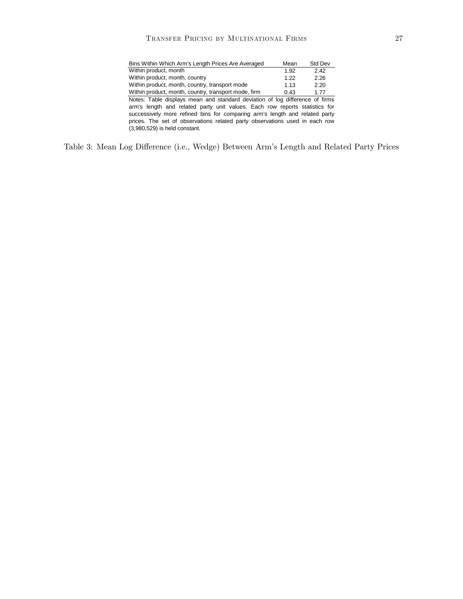| Bins Within Which Arm's Length Prices Are Averaged                                                                 | Mean | Std Dev |
|--------------------------------------------------------------------------------------------------------------------|------|---------|
| Within product, month                                                                                              | 1.92 | 2.42    |
| Within product, month, country                                                                                     | 1.22 | 2.26    |
| Within product, month, country, transport mode                                                                     | 1.13 | 2.20    |
| Within product, month, country, transport mode, firm                                                               | 0.43 | 1.77    |
| Notes: Table displays mean and standard deviation of log difference of firms                                       |      |         |
| arm's length and related party unit values. Each row reports statistics for                                        |      |         |
| the contract of the contract of the second of the contract of the second second second second second second second |      |         |

successively more refined bins for comparing arm's length and related party prices. The set of observations related party observations used in each row (3,980,529) is held constant.

Table 3: Mean Log Difference (i.e., Wedge) Between Arm's Length and Related Party Prices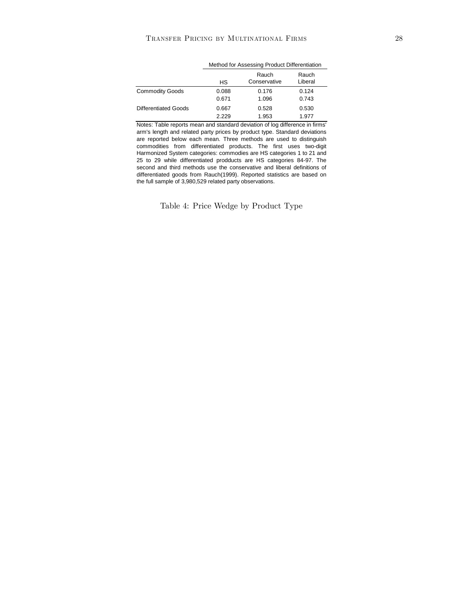|                        | Method for Assessing Product Differentiation |                       |                  |  |  |  |
|------------------------|----------------------------------------------|-----------------------|------------------|--|--|--|
|                        | HS                                           | Rauch<br>Conservative | Rauch<br>Liberal |  |  |  |
| <b>Commodity Goods</b> | 0.088                                        | 0.176                 | 0.124            |  |  |  |
|                        | 0.671                                        | 1.096                 | 0.743            |  |  |  |
| Differentiated Goods   | 0.667<br>2.229                               | 0.528<br>1.953        | 0.530<br>1.977   |  |  |  |

Notes: Table reports mean and standard deviation of log difference in firms' arm's length and related party prices by product type. Standard deviations are reported below each mean. Three methods are used to distinguish commodities from differentiated products. The first uses two-digit Harmonized System categories: commodies are HS categories 1 to 21 and 25 to 29 while differentiated prodducts are HS categories 84-97. The second and third methods use the conservative and liberal definitions of differentiated goods from Rauch(1999). Reported statistics are based on the full sample of 3,980,529 related party observations.

Table 4: Price Wedge by Product Type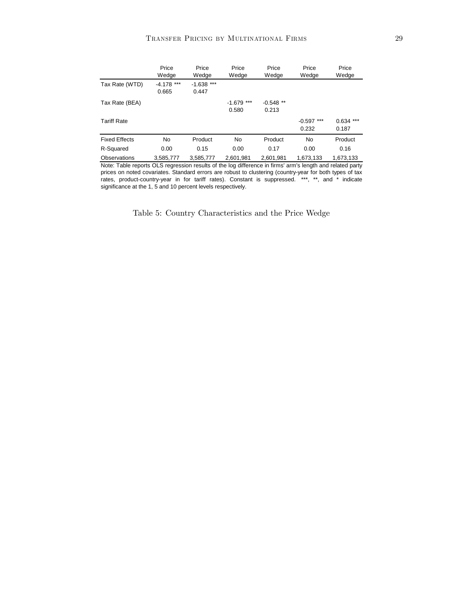|                      | Price<br>Wedge        | Price<br>Wedge        | Price<br>Wedge           | Price<br>Wedge       | Price<br>Wedge        | Price<br>Wedge       |
|----------------------|-----------------------|-----------------------|--------------------------|----------------------|-----------------------|----------------------|
| Tax Rate (WTD)       | $-4.178$ ***<br>0.665 | $-1.638$ ***<br>0.447 |                          |                      |                       |                      |
| Tax Rate (BEA)       |                       |                       | ***<br>$-1.679$<br>0.580 | $-0.548$ **<br>0.213 |                       |                      |
| <b>Tariff Rate</b>   |                       |                       |                          |                      | $-0.597$ ***<br>0.232 | $0.634$ ***<br>0.187 |
| <b>Fixed Effects</b> | <b>No</b>             | Product               | No.                      | Product              | No                    | Product              |
| R-Squared            | 0.00                  | 0.15                  | 0.00                     | 0.17                 | 0.00                  | 0.16                 |
| Observations         | 3.585.777             | 3.585.777             | 2.601.981                | 2,601,981            | 1.673.133             | 1,673,133            |

Note: Table reports OLS regression results of the log difference in firms' arm's length and related party prices on noted covariates. Standard errors are robust to clustering (country-year for both types of tax rates, product-country-year in for tariff rates). Constant is suppressed. \*\*\*, \*\*, and \* indicate significance at the 1, 5 and 10 percent levels respectively.

Table 5: Country Characteristics and the Price Wedge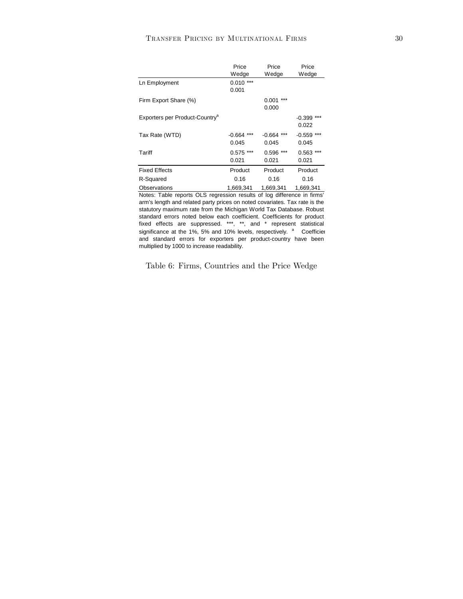|                                            | Price<br>Wedge           | Price<br>Wedge           | Price<br>Wedge           |
|--------------------------------------------|--------------------------|--------------------------|--------------------------|
| Ln Employment                              | $***$<br>0.010<br>0.001  |                          |                          |
| Firm Export Share (%)                      |                          | ***<br>0.001<br>0.000    |                          |
| Exporters per Product-Country <sup>a</sup> |                          |                          | ***<br>$-0.399$<br>0.022 |
| Tax Rate (WTD)                             | ***<br>$-0.664$<br>0.045 | ***<br>$-0.664$<br>0.045 | ***<br>$-0.559$<br>0.045 |
| Tariff                                     | $0.575$ ***<br>0.021     | ***<br>0.596<br>0.021    | ***<br>0.563<br>0.021    |
| <b>Fixed Effects</b>                       | Product                  | Product                  | Product                  |
| R-Squared                                  | 0.16                     | 0.16                     | 0.16                     |
| Observations                               | 1,669,341                | 1,669,341                | 1,669,341                |

Notes: Table reports OLS regression results of log difference in firms' arm's length and related party prices on noted covariates. Tax rate is the statutory maximum rate from the Michigan World Tax Database. Robust standard errors noted below each coefficient. Coefficients for product fixed effects are suppressed. \*\*\*, \*\*, and \* represent statistical significance at the 1%, 5% and 10% levels, respectively. <sup>a</sup> Coefficien and standard errors for exporters per product-country have been multiplied by 1000 to increase readability.

Table 6: Firms, Countries and the Price Wedge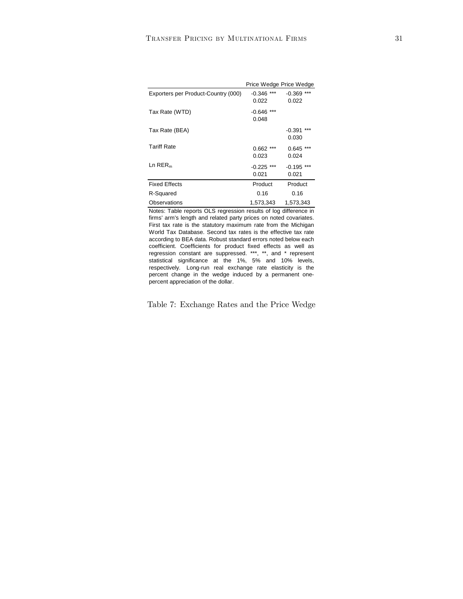|                                     | Price Wedge Price Wedge  |                          |
|-------------------------------------|--------------------------|--------------------------|
| Exporters per Product-Country (000) | ***<br>$-0.346$<br>0.022 | ***<br>$-0.369$<br>0.022 |
| Tax Rate (WTD)                      | ***<br>$-0.646$<br>0.048 |                          |
| Tax Rate (BEA)                      |                          | ***<br>$-0.391$<br>0.030 |
| <b>Tariff Rate</b>                  | ***<br>0.662<br>0.023    | ***<br>0.645<br>0.024    |
| $Ln$ RER <sub>m</sub>               | ***<br>$-0.225$<br>0.021 | ***<br>$-0.195$<br>0.021 |
| <b>Fixed Effects</b>                | Product                  | Product                  |
| R-Squared                           | 0.16                     | 0.16                     |
| Observations                        | 1,573,343                | 1,573,343                |

Notes: Table reports OLS regression results of log difference in firms' arm's length and related party prices on noted covariates. First tax rate is the statutory maximum rate from the Michigan World Tax Database. Second tax rates is the effective tax rate according to BEA data. Robust standard errors noted below each coefficient. Coefficients for product fixed effects as well as regression constant are suppressed. \*\*\*, \*\*, and \* represent statistical significance at the 1%, 5% and 10% levels, respectively. Long-run real exchange rate elasticity is the percent change in the wedge induced by a permanent onepercent appreciation of the dollar.

## Table 7: Exchange Rates and the Price Wedge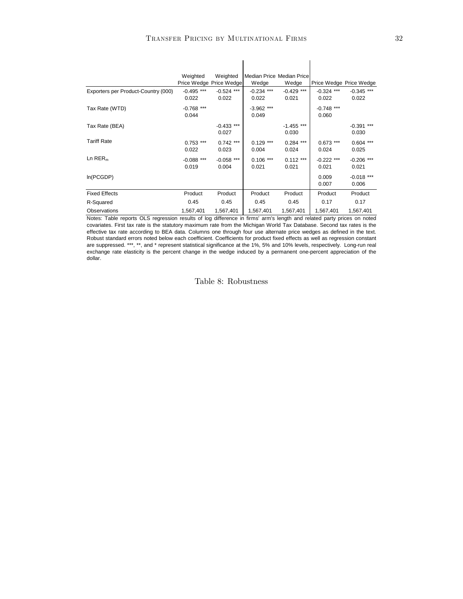|                                     | Weighted     | Weighted                | Median Price Median Price |              |              |                         |
|-------------------------------------|--------------|-------------------------|---------------------------|--------------|--------------|-------------------------|
|                                     |              | Price Wedge Price Wedge | Wedge                     | Wedge        |              | Price Wedge Price Wedge |
| Exporters per Product-Country (000) | $-0.495$ *** | $-0.524$ ***            | $-0.234$ ***              | $-0.429$ *** | $-0.324$ *** | $-0.345$ ***            |
|                                     | 0.022        | 0.022                   | 0.022                     | 0.021        | 0.022        | 0.022                   |
| Tax Rate (WTD)                      | $-0.768$ *** |                         | $-3.962$ ***              |              | $-0.748$ *** |                         |
|                                     | 0.044        |                         | 0.049                     |              | 0.060        |                         |
| Tax Rate (BEA)                      |              | $-0.433$ ***            |                           | $-1.455$ *** |              | $-0.391$ ***            |
|                                     |              | 0.027                   |                           | 0.030        |              | 0.030                   |
| <b>Tariff Rate</b>                  | $0.753$ ***  | $0.742$ ***             | $0.129$ ***               | $0.284$ ***  | $0.673$ ***  | $0.604$ ***             |
|                                     | 0.022        | 0.023                   | 0.004                     | 0.024        | 0.024        | 0.025                   |
| $Ln$ RER <sub>m</sub>               | $-0.088$ *** | $-0.058$ ***            | $0.106$ ***               | $0.112***$   | $-0.222$ *** | $-0.206$ ***            |
|                                     | 0.019        | 0.004                   | 0.021                     | 0.021        | 0.021        | 0.021                   |
| In(PCGDP)                           |              |                         |                           |              | 0.009        | $-0.018$ ***            |
|                                     |              |                         |                           |              | 0.007        | 0.006                   |
| <b>Fixed Effects</b>                | Product      | Product                 | Product                   | Product      | Product      | Product                 |
| R-Squared                           | 0.45         | 0.45                    | 0.45                      | 0.45         | 0.17         | 0.17                    |
| <b>Observations</b>                 | 1,567,401    | 1,567,401               | 1,567,401                 | 1,567,401    | 1,567,401    | 1,567,401               |

Notes: Table reports OLS regression results of log difference in firms' arm's length and related party prices on noted covariates. First tax rate is the statutory maximum rate from the Michigan World Tax Database. Second tax rates is the effective tax rate according to BEA data. Columns one through four use alternate price wedges as defined in the text. Robust standard errors noted below each coefficient. Coefficients for product fixed effects as well as regression constant are suppressed. \*\*\*, \*\*, and \* represent statistical significance at the 1%, 5% and 10% levels, respectively. Long-run real exchange rate elasticity is the percent change in the wedge induced by a permanent one-percent appreciation of the dollar.

Table 8: Robustness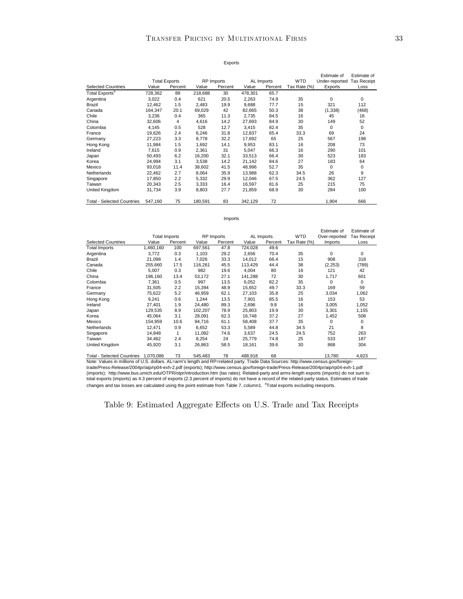#### Exports

|                                   |         |                      |         |            |         |            |              | Estimate of    | Estimate of        |
|-----------------------------------|---------|----------------------|---------|------------|---------|------------|--------------|----------------|--------------------|
|                                   |         | <b>Total Exports</b> |         | RP Imports |         | AL Imports | <b>WTD</b>   | Under-reported | <b>Tax Receipt</b> |
| <b>Selected Countries</b>         | Value   | Percent              | Value   | Percent    | Value   | Percent    | Tax Rate (%) | Exports        | Loss               |
| Total Exports <sup>a</sup>        | 728,362 | 89                   | 218,688 | 30         | 478,301 | 65.7       |              |                |                    |
| Argentina                         | 3.022   | 0.4                  | 621     | 20.5       | 2.263   | 74.9       | 35           | $\Omega$       | $\Omega$           |
| Brazil                            | 12.462  | 1.5                  | 2.483   | 19.9       | 9.688   | 77.7       | 15           | 321            | 112                |
| Canada                            | 164,347 | 20.1                 | 69,029  | 42         | 82,665  | 50.3       | 38           | (1,338)        | (468)              |
| Chile                             | 3,236   | 0.4                  | 365     | 11.3       | 2,735   | 84.5       | 16           | 45             | 16                 |
| China                             | 32,606  | 4                    | 4,616   | 14.2       | 27.693  | 84.9       | 30           | 149            | 52                 |
| Colombia                          | 4,145   | 0.5                  | 528     | 12.7       | 3,415   | 82.4       | 35           | 0              | 0                  |
| France                            | 19,626  | 2.4                  | 6,246   | 31.8       | 12,837  | 65.4       | 33.3         | 69             | 24                 |
| Germany                           | 27,223  | 3.3                  | 8.778   | 32.2       | 17.692  | 65         | 25           | 567            | 198                |
| Hong Kong                         | 11,984  | 1.5                  | 1,692   | 14.1       | 9,953   | 83.1       | 16           | 208            | 73                 |
| Ireland                           | 7,615   | 0.9                  | 2,361   | 31         | 5,047   | 66.3       | 16           | 290            | 101                |
| Japan                             | 50,493  | 6.2                  | 16,200  | 32.1       | 33,513  | 66.4       | 30           | 523            | 183                |
| Korea                             | 24,994  | 3.1                  | 3,538   | 14.2       | 21,142  | 84.6       | 27           | 183            | 64                 |
| Mexico                            | 93,018  | 11.4                 | 38,602  | 41.5       | 48,996  | 52.7       | 35           | $\Omega$       | 0                  |
| Netherlands                       | 22,462  | 2.7                  | 8,064   | 35.9       | 13,988  | 62.3       | 34.5         | 26             | 9                  |
| Singapore                         | 17,850  | 2.2                  | 5,332   | 29.9       | 12,046  | 67.5       | 24.5         | 362            | 127                |
| Taiwan                            | 20,343  | 2.5                  | 3.333   | 16.4       | 16.597  | 81.6       | 25           | 215            | 75                 |
| United Kingdom                    | 31,734  | 3.9                  | 8,803   | 27.7       | 21,859  | 68.9       | 30           | 284            | 100                |
| <b>Total - Selected Countries</b> | 547,160 | 75                   | 180,591 | 83         | 342,129 | 72         |              | 1,904          | 666                |

#### Imports

|                           |                      |         |         |            |         |            |              | Estimate of   | Estimate of |
|---------------------------|----------------------|---------|---------|------------|---------|------------|--------------|---------------|-------------|
|                           | <b>Total Imports</b> |         |         | RP Imports |         | AL Imports | <b>WTD</b>   | Over-reported | Tax Receipt |
| <b>Selected Countries</b> | Value                | Percent | Value   | Percent    | Value   | Percent    | Tax Rate (%) | Imports       | Loss        |
| <b>Total Imports</b>      | 1,460,160            | 100     | 697,561 | 47.8       | 724,028 | 49.6       |              |               |             |
| Argentina                 | 3.772                | 0.3     | 1,103   | 29.2       | 2,656   | 70.4       | 35           | $\Omega$      | $\Omega$    |
| Brazil                    | 21,098               | 1.4     | 7,026   | 33.3       | 14,012  | 66.4       | 15           | 908           | 318         |
| Canada                    | 255,660              | 17.5    | 116,261 | 45.5       | 113.429 | 44.4       | 38           | (2, 253)      | (789)       |
| Chile                     | 5,007                | 0.3     | 982     | 19.6       | 4,004   | 80         | 16           | 121           | 42          |
| China                     | 196.160              | 13.4    | 53,172  | 27.1       | 141,288 | 72         | 30           | 1,717         | 601         |
| Colombia                  | 7.361                | 0.5     | 997     | 13.5       | 6.052   | 82.2       | 35           | $\Omega$      | 0           |
| France                    | 31,505               | 2.2     | 15,394  | 48.9       | 15,652  | 49.7       | 33.3         | 169           | 59          |
| Germany                   | 75,622               | 5.2     | 46,959  | 62.1       | 27,103  | 35.8       | 25           | 3,034         | 1,062       |
| Hong Kong                 | 9,241                | 0.6     | 1.244   | 13.5       | 7.901   | 85.5       | 16           | 153           | 53          |
| Ireland                   | 27,401               | 1.9     | 24,480  | 89.3       | 2,696   | 9.8        | 16           | 3,005         | 1,052       |
| Japan                     | 129,535              | 8.9     | 102,207 | 78.9       | 25,803  | 19.9       | 30           | 3,301         | 1,155       |
| Korea                     | 45.064               | 3.1     | 28,091  | 62.3       | 16.748  | 37.2       | 27           | 1,452         | 508         |
| Mexico                    | 154,959              | 10.6    | 94,716  | 61.1       | 58,408  | 37.7       | 35           | $\Omega$      | 0           |
| Netherlands               | 12,471               | 0.9     | 6,652   | 53.3       | 5,589   | 44.8       | 34.5         | 21            | 8           |
| Singapore                 | 14.848               | 1       | 11,082  | 74.6       | 3.637   | 24.5       | 24.5         | 752           | 263         |
| Taiwan                    | 34,462               | 2.4     | 8,254   | 24         | 25,779  | 74.8       | 25           | 533           | 187         |
| United Kingdom            | 45,920               | 3.1     | 26,863  | 58.5       | 18,161  | 39.6       | 30           | 868           | 304         |

Total - Selected Countries \_1,070,086 73 545,483 78 488,918 68 4,823<br>Note: Values in millions of U.S. dollars. AL=arm's length and RP=related party. Trade Data Sources: http://www.census.gov/fo (imports); http://www.bus.umich.edu/OTPR/otpr/introduction.htm (tax rates). Related-party and arms-length exports (imports) do not sum to total exports (imports) as 4.3 percent of exports (2.3 percent of imports) do not have a record of the related-party status. Estimates of trade changes and tax losses are calculated using the point estimate from Table 7, column1. <sup>a</sup>Total exports excluding reexports.

Table 9: Estimated Aggregate Effects on U.S. Trade and Tax Receipts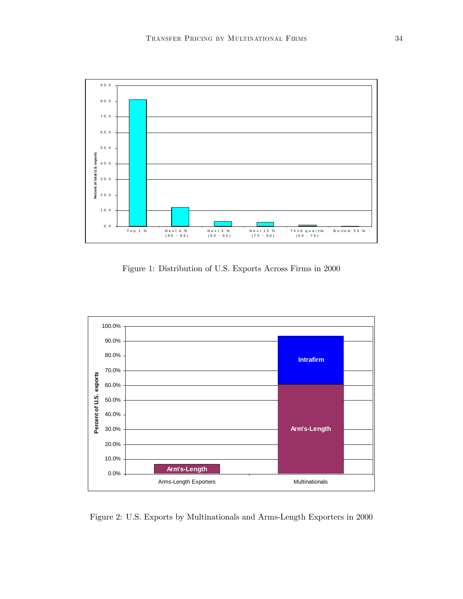

Figure 1: Distribution of U.S. Exports Across Firms in 2000



Figure 2: U.S. Exports by Multinationals and Arms-Length Exporters in 2000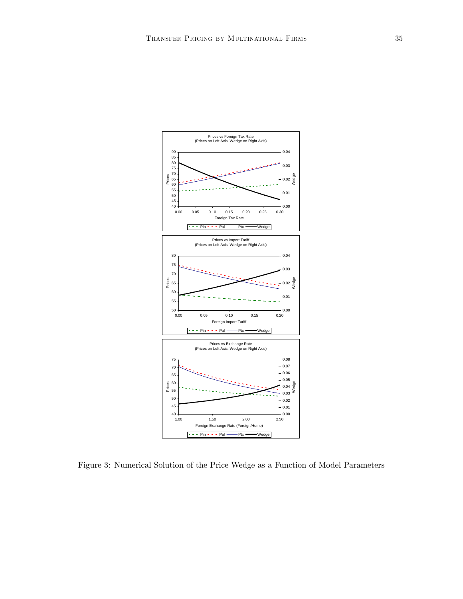

Figure 3: Numerical Solution of the Price Wedge as a Function of Model Parameters